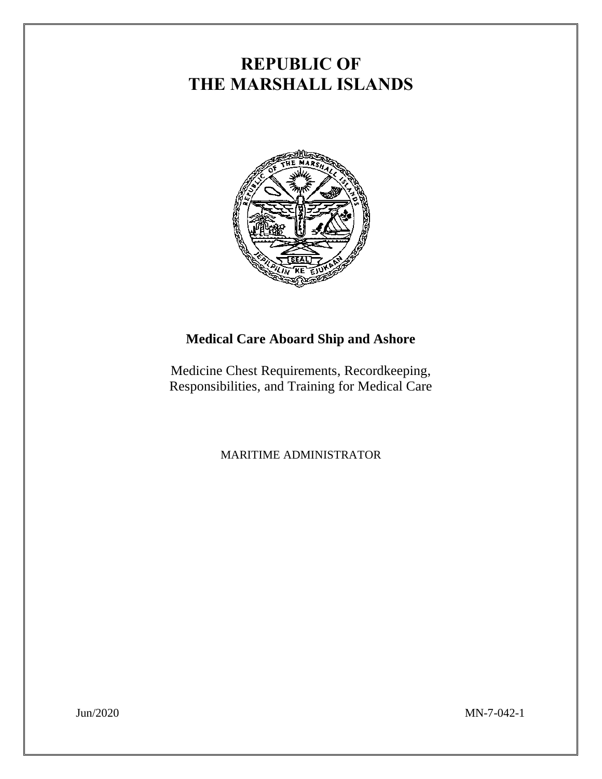# **REPUBLIC OF THE MARSHALL ISLANDS**



## **Medical Care Aboard Ship and Ashore**

Medicine Chest Requirements, Recordkeeping, Responsibilities, and Training for Medical Care

MARITIME ADMINISTRATOR

Jun/2020 MN-7-042-1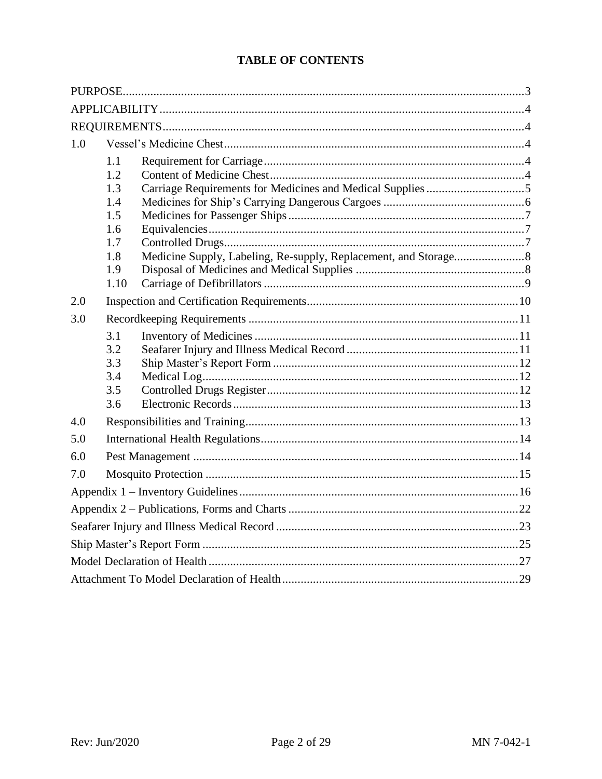## **TABLE OF CONTENTS**

| 1.0 |      |  |  |  |  |  |  |
|-----|------|--|--|--|--|--|--|
|     | 1.1  |  |  |  |  |  |  |
|     | 1.2  |  |  |  |  |  |  |
|     | 1.3  |  |  |  |  |  |  |
|     | 1.4  |  |  |  |  |  |  |
|     | 1.5  |  |  |  |  |  |  |
|     | 1.6  |  |  |  |  |  |  |
|     | 1.7  |  |  |  |  |  |  |
|     | 1.8  |  |  |  |  |  |  |
|     | 1.9  |  |  |  |  |  |  |
|     | 1.10 |  |  |  |  |  |  |
| 2.0 |      |  |  |  |  |  |  |
| 3.0 |      |  |  |  |  |  |  |
|     | 3.1  |  |  |  |  |  |  |
|     | 3.2  |  |  |  |  |  |  |
|     | 3.3  |  |  |  |  |  |  |
|     | 3.4  |  |  |  |  |  |  |
|     | 3.5  |  |  |  |  |  |  |
|     | 3.6  |  |  |  |  |  |  |
| 4.0 |      |  |  |  |  |  |  |
| 5.0 |      |  |  |  |  |  |  |
| 6.0 |      |  |  |  |  |  |  |
| 7.0 |      |  |  |  |  |  |  |
|     |      |  |  |  |  |  |  |
|     |      |  |  |  |  |  |  |
|     |      |  |  |  |  |  |  |
|     |      |  |  |  |  |  |  |
|     |      |  |  |  |  |  |  |
|     |      |  |  |  |  |  |  |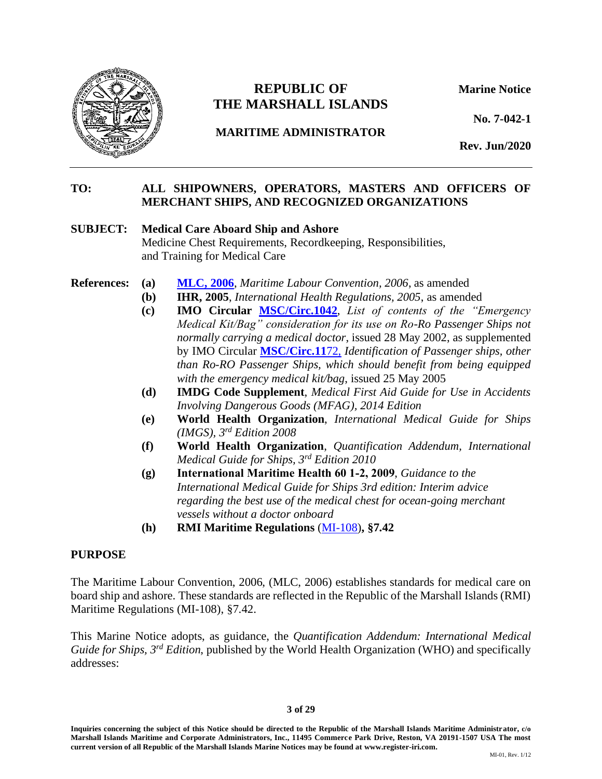

## **REPUBLIC OF Marine Notice THE MARSHALL ISLANDS**

**MARITIME ADMINISTRATOR**

**No. 7-042-1**

**Rev. Jun/2020**

## **TO: ALL SHIPOWNERS, OPERATORS, MASTERS AND OFFICERS OF MERCHANT SHIPS, AND RECOGNIZED ORGANIZATIONS**

#### **SUBJECT: Medical Care Aboard Ship and Ashore**

Medicine Chest Requirements, Recordkeeping, Responsibilities, and Training for Medical Care

- **References: (a) [MLC, 2006](https://www.register-iri.com/forms/upload/MLC%202006.pdf)**, *Maritime Labour Convention, 2006*, as amended
	- **(b) IHR, 2005**, *International Health Regulations, 2005*, as amended
	- **(c) IMO Circular [MSC/Circ.1042](https://www.register-iri.com/forms/upload/MSC.1-Circ.1042.pdf)**, *List of contents of the "Emergency Medical Kit/Bag" consideration for its use on Ro-Ro Passenger Ships not normally carrying a medical doctor*, issued 28 May 2002, as supplemented by IMO Circular **[MSC/Circ.11](https://www.register-iri.com/wp-content/uploads/MSC.1-Circ.1172.pdf)**72, *Identification of Passenger ships, other than Ro-RO Passenger Ships, which should benefit from being equipped with the emergency medical kit/bag*, issued 25 May 2005
	- **(d) IMDG Code Supplement**, *Medical First Aid Guide for Use in Accidents Involving Dangerous Goods (MFAG), 2014 Edition*
	- **(e) World Health Organization**, *International Medical Guide for Ships (IMGS), 3rd Edition 2008*
	- **(f) World Health Organization**, *Quantification Addendum, International Medical Guide for Ships, 3rd Edition 2010*
	- **(g) International Maritime Health 60 1-2, 2009**, *Guidance to the International Medical Guide for Ships 3rd edition: Interim advice regarding the best use of the medical chest for ocean-going merchant vessels without a doctor onboard*
	- **(h) RMI Maritime Regulations** [\(MI-108\)](https://www.register-iri.com/forms/upload/MI-108.pdf)**, §7.42**

#### <span id="page-2-0"></span>**PURPOSE**

The Maritime Labour Convention, 2006, (MLC, 2006) establishes standards for medical care on board ship and ashore. These standards are reflected in the Republic of the Marshall Islands (RMI) Maritime Regulations (MI-108), §7.42.

This Marine Notice adopts, as guidance, the *Quantification Addendum: International Medical Guide for Ships, 3rd Edition*, published by the World Health Organization (WHO) and specifically addresses:

#### **3 of 29**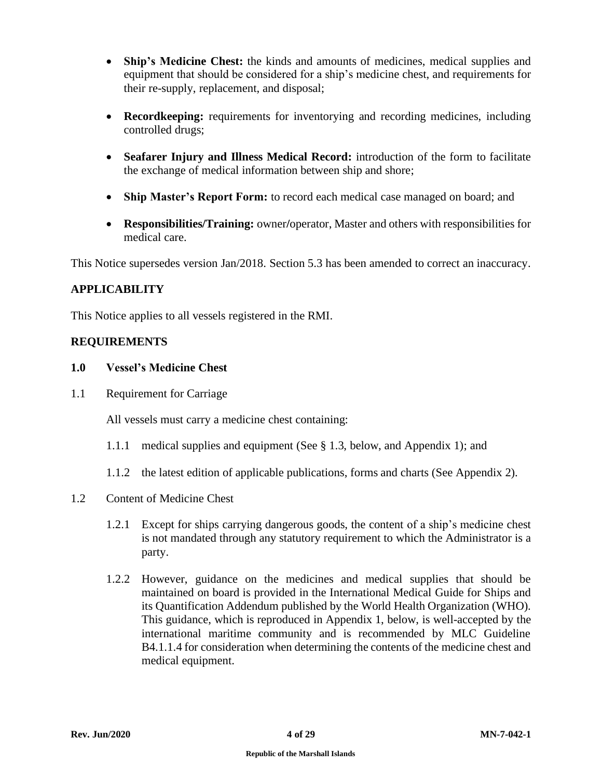- **Ship's Medicine Chest:** the kinds and amounts of medicines, medical supplies and equipment that should be considered for a ship's medicine chest, and requirements for their re-supply, replacement, and disposal;
- **Recordkeeping:** requirements for inventorying and recording medicines, including controlled drugs;
- **Seafarer Injury and Illness Medical Record:** introduction of the form to facilitate the exchange of medical information between ship and shore;
- **Ship Master's Report Form:** to record each medical case managed on board; and
- **Responsibilities/Training:** owner**/**operator, Master and others with responsibilities for medical care.

This Notice supersedes version Jan/2018. Section 5.3 has been amended to correct an inaccuracy.

## <span id="page-3-0"></span>**APPLICABILITY**

This Notice applies to all vessels registered in the RMI.

## <span id="page-3-1"></span>**REQUIREMENTS**

## <span id="page-3-2"></span>**1.0 Vessel's Medicine Chest**

<span id="page-3-3"></span>1.1 Requirement for Carriage

All vessels must carry a medicine chest containing:

- 1.1.1 medical supplies and equipment (See § 1.3, below, and Appendix 1); and
- 1.1.2 the latest edition of applicable publications, forms and charts (See Appendix 2).
- <span id="page-3-4"></span>1.2 Content of Medicine Chest
	- 1.2.1 Except for ships carrying dangerous goods, the content of a ship's medicine chest is not mandated through any statutory requirement to which the Administrator is a party.
	- 1.2.2 However, guidance on the medicines and medical supplies that should be maintained on board is provided in the International Medical Guide for Ships and its Quantification Addendum published by the World Health Organization (WHO). This guidance, which is reproduced in Appendix 1, below, is well-accepted by the international maritime community and is recommended by MLC Guideline B4.1.1.4 for consideration when determining the contents of the medicine chest and medical equipment.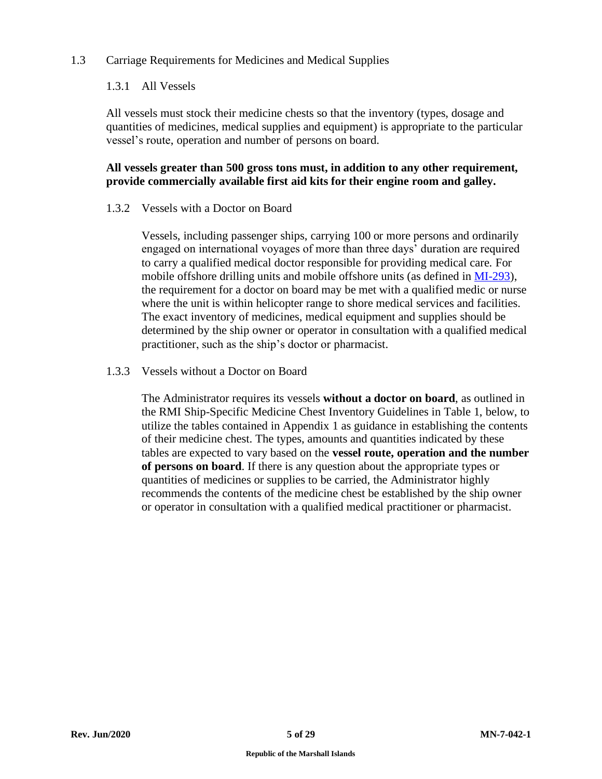## <span id="page-4-0"></span>1.3 Carriage Requirements for Medicines and Medical Supplies

## 1.3.1 All Vessels

All vessels must stock their medicine chests so that the inventory (types, dosage and quantities of medicines, medical supplies and equipment) is appropriate to the particular vessel's route, operation and number of persons on board.

## **All vessels greater than 500 gross tons must, in addition to any other requirement, provide commercially available first aid kits for their engine room and galley.**

## 1.3.2 Vessels with a Doctor on Board

Vessels, including passenger ships, carrying 100 or more persons and ordinarily engaged on international voyages of more than three days' duration are required to carry a qualified medical doctor responsible for providing medical care. For mobile offshore drilling units and mobile offshore units (as defined in [MI-293\)](https://www.register-iri.com/wp-content/uploads/MI-293.pdf), the requirement for a doctor on board may be met with a qualified medic or nurse where the unit is within helicopter range to shore medical services and facilities. The exact inventory of medicines, medical equipment and supplies should be determined by the ship owner or operator in consultation with a qualified medical practitioner, such as the ship's doctor or pharmacist.

#### 1.3.3 Vessels without a Doctor on Board

The Administrator requires its vessels **without a doctor on board**, as outlined in the RMI Ship-Specific Medicine Chest Inventory Guidelines in Table 1, below, to utilize the tables contained in Appendix 1 as guidance in establishing the contents of their medicine chest. The types, amounts and quantities indicated by these tables are expected to vary based on the **vessel route, operation and the number of persons on board**. If there is any question about the appropriate types or quantities of medicines or supplies to be carried, the Administrator highly recommends the contents of the medicine chest be established by the ship owner or operator in consultation with a qualified medical practitioner or pharmacist.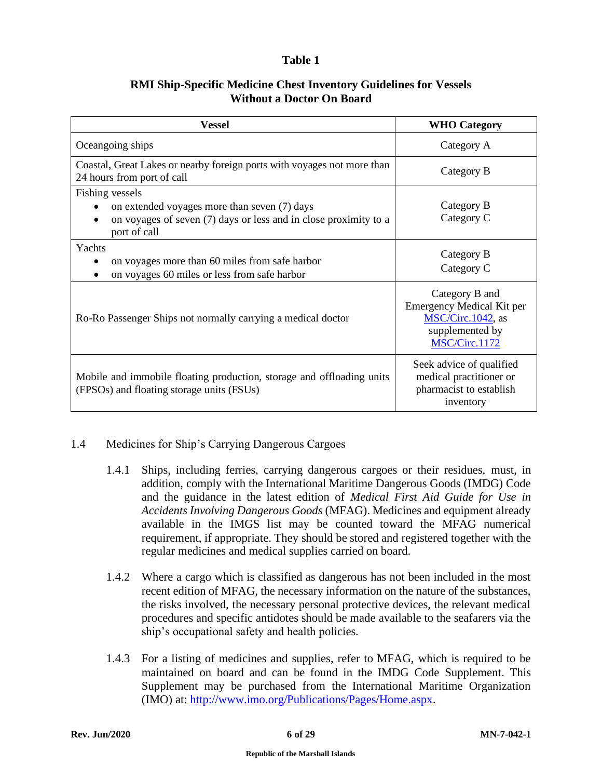## **Table 1**

## **RMI Ship-Specific Medicine Chest Inventory Guidelines for Vessels Without a Doctor On Board**

| <b>Vessel</b>                                                                                                                                       | <b>WHO</b> Category                                                                                  |
|-----------------------------------------------------------------------------------------------------------------------------------------------------|------------------------------------------------------------------------------------------------------|
| Oceangoing ships                                                                                                                                    | Category A                                                                                           |
| Coastal, Great Lakes or nearby foreign ports with voyages not more than<br>24 hours from port of call                                               | Category B                                                                                           |
| Fishing vessels<br>on extended voyages more than seven (7) days<br>on voyages of seven (7) days or less and in close proximity to a<br>port of call | Category B<br>Category C                                                                             |
| Yachts<br>on voyages more than 60 miles from safe harbor<br>on voyages 60 miles or less from safe harbor                                            | Category B<br>Category C                                                                             |
| Ro-Ro Passenger Ships not normally carrying a medical doctor                                                                                        | Category B and<br>Emergency Medical Kit per<br>MSC/Circ.1042, as<br>supplemented by<br>MSC/Circ.1172 |
| Mobile and immobile floating production, storage and offloading units<br>(FPSOs) and floating storage units (FSUs)                                  | Seek advice of qualified<br>medical practitioner or<br>pharmacist to establish<br>inventory          |

## <span id="page-5-0"></span>1.4 Medicines for Ship's Carrying Dangerous Cargoes

- 1.4.1 Ships, including ferries, carrying dangerous cargoes or their residues, must, in addition, comply with the International Maritime Dangerous Goods (IMDG) Code and the guidance in the latest edition of *Medical First Aid Guide for Use in Accidents Involving Dangerous Goods* (MFAG). Medicines and equipment already available in the IMGS list may be counted toward the MFAG numerical requirement, if appropriate. They should be stored and registered together with the regular medicines and medical supplies carried on board.
- 1.4.2 Where a cargo which is classified as dangerous has not been included in the most recent edition of MFAG, the necessary information on the nature of the substances, the risks involved, the necessary personal protective devices, the relevant medical procedures and specific antidotes should be made available to the seafarers via the ship's occupational safety and health policies.
- 1.4.3 For a listing of medicines and supplies, refer to MFAG, which is required to be maintained on board and can be found in the IMDG Code Supplement. This Supplement may be purchased from the International Maritime Organization (IMO) at: [http://www.imo.org/Publications/Pages/Home.aspx.](http://www.imo.org/Publications/Pages/Home.aspx)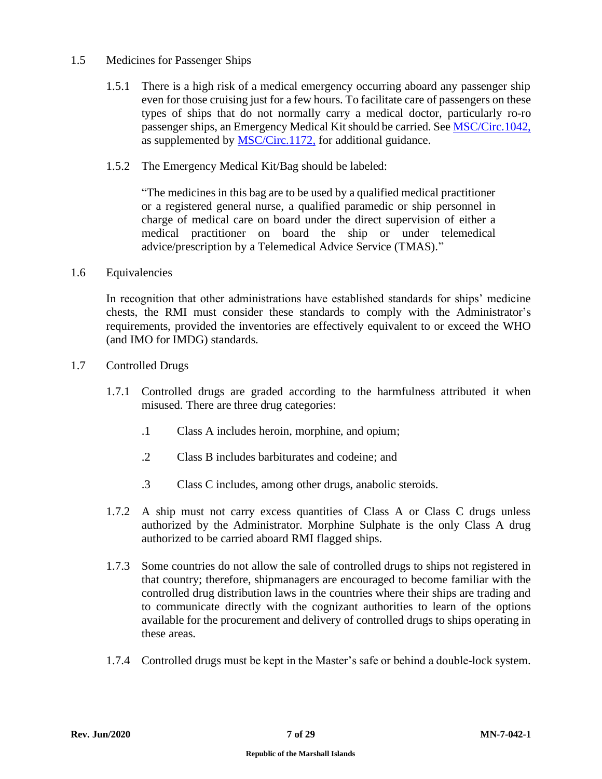## <span id="page-6-0"></span>1.5 Medicines for Passenger Ships

- 1.5.1 There is a high risk of a medical emergency occurring aboard any passenger ship even for those cruising just for a few hours. To facilitate care of passengers on these types of ships that do not normally carry a medical doctor, particularly ro-ro passenger ships, an Emergency Medical Kit should be carried. See [MSC/Circ.1042,](https://www.register-iri.com/forms/upload/MSC.1-Circ.1042.pdf) as supplemented by **MSC/Circ.1172**, for additional guidance.
- 1.5.2 The Emergency Medical Kit/Bag should be labeled:

"The medicines in this bag are to be used by a qualified medical practitioner or a registered general nurse, a qualified paramedic or ship personnel in charge of medical care on board under the direct supervision of either a medical practitioner on board the ship or under telemedical advice/prescription by a Telemedical Advice Service (TMAS)."

<span id="page-6-1"></span>1.6 Equivalencies

In recognition that other administrations have established standards for ships' medicine chests, the RMI must consider these standards to comply with the Administrator's requirements, provided the inventories are effectively equivalent to or exceed the WHO (and IMO for IMDG) standards.

- <span id="page-6-2"></span>1.7 Controlled Drugs
	- 1.7.1 Controlled drugs are graded according to the harmfulness attributed it when misused. There are three drug categories:
		- .1 Class A includes heroin, morphine, and opium;
		- .2 Class B includes barbiturates and codeine; and
		- .3 Class C includes, among other drugs, anabolic steroids.
	- 1.7.2 A ship must not carry excess quantities of Class A or Class C drugs unless authorized by the Administrator. Morphine Sulphate is the only Class A drug authorized to be carried aboard RMI flagged ships.
	- 1.7.3 Some countries do not allow the sale of controlled drugs to ships not registered in that country; therefore, shipmanagers are encouraged to become familiar with the controlled drug distribution laws in the countries where their ships are trading and to communicate directly with the cognizant authorities to learn of the options available for the procurement and delivery of controlled drugs to ships operating in these areas.
	- 1.7.4 Controlled drugs must be kept in the Master's safe or behind a double-lock system.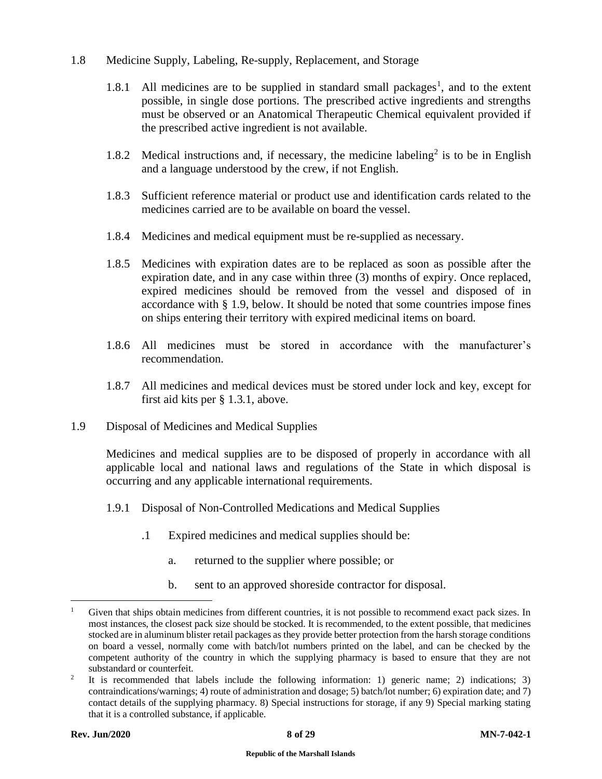- <span id="page-7-0"></span>1.8 Medicine Supply, Labeling, Re-supply, Replacement, and Storage
	- $1.8.1$  All medicines are to be supplied in standard small packages<sup>1</sup>, and to the extent possible, in single dose portions. The prescribed active ingredients and strengths must be observed or an Anatomical Therapeutic Chemical equivalent provided if the prescribed active ingredient is not available.
	- 1.8.2 Medical instructions and, if necessary, the medicine labeling<sup>2</sup> is to be in English and a language understood by the crew, if not English.
	- 1.8.3 Sufficient reference material or product use and identification cards related to the medicines carried are to be available on board the vessel.
	- 1.8.4 Medicines and medical equipment must be re-supplied as necessary.
	- 1.8.5 Medicines with expiration dates are to be replaced as soon as possible after the expiration date, and in any case within three (3) months of expiry. Once replaced, expired medicines should be removed from the vessel and disposed of in accordance with § 1.9, below. It should be noted that some countries impose fines on ships entering their territory with expired medicinal items on board.
	- 1.8.6 All medicines must be stored in accordance with the manufacturer's recommendation.
	- 1.8.7 All medicines and medical devices must be stored under lock and key, except for first aid kits per § 1.3.1, above.
- <span id="page-7-1"></span>1.9 Disposal of Medicines and Medical Supplies

Medicines and medical supplies are to be disposed of properly in accordance with all applicable local and national laws and regulations of the State in which disposal is occurring and any applicable international requirements.

- 1.9.1 Disposal of Non-Controlled Medications and Medical Supplies
	- .1 Expired medicines and medical supplies should be:
		- a. returned to the supplier where possible; or
		- b. sent to an approved shoreside contractor for disposal.

Given that ships obtain medicines from different countries, it is not possible to recommend exact pack sizes. In most instances, the closest pack size should be stocked. It is recommended, to the extent possible, that medicines stocked are in aluminum blister retail packages as they provide better protection from the harsh storage conditions on board a vessel, normally come with batch/lot numbers printed on the label, and can be checked by the competent authority of the country in which the supplying pharmacy is based to ensure that they are not substandard or counterfeit.

<sup>2</sup> It is recommended that labels include the following information: 1) generic name; 2) indications; 3) contraindications/warnings; 4) route of administration and dosage; 5) batch/lot number; 6) expiration date; and 7) contact details of the supplying pharmacy. 8) Special instructions for storage, if any 9) Special marking stating that it is a controlled substance, if applicable.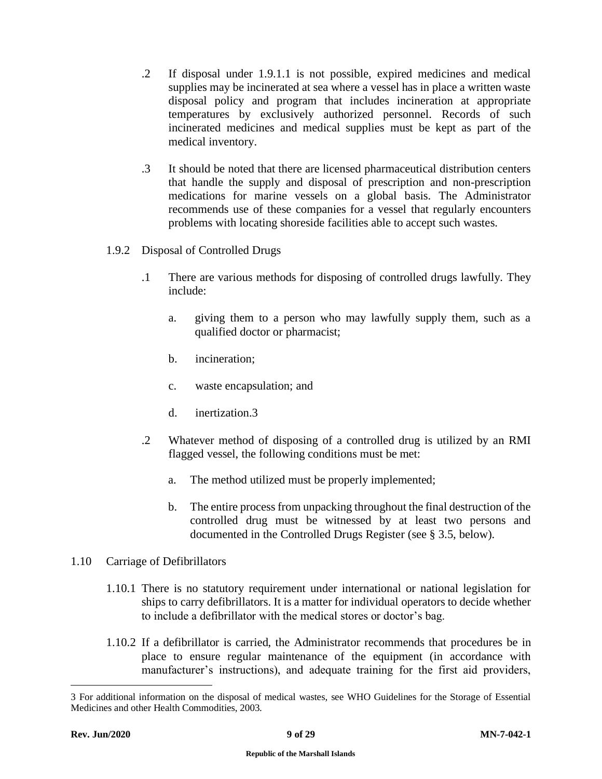- .2 If disposal under 1.9.1.1 is not possible, expired medicines and medical supplies may be incinerated at sea where a vessel has in place a written waste disposal policy and program that includes incineration at appropriate temperatures by exclusively authorized personnel. Records of such incinerated medicines and medical supplies must be kept as part of the medical inventory.
- .3 It should be noted that there are licensed pharmaceutical distribution centers that handle the supply and disposal of prescription and non-prescription medications for marine vessels on a global basis. The Administrator recommends use of these companies for a vessel that regularly encounters problems with locating shoreside facilities able to accept such wastes.
- 1.9.2 Disposal of Controlled Drugs
	- .1 There are various methods for disposing of controlled drugs lawfully. They include:
		- a. giving them to a person who may lawfully supply them, such as a qualified doctor or pharmacist;
		- b. incineration;
		- c. waste encapsulation; and
		- d. inertization.3
	- .2 Whatever method of disposing of a controlled drug is utilized by an RMI flagged vessel, the following conditions must be met:
		- a. The method utilized must be properly implemented;
		- b. The entire process from unpacking throughout the final destruction of the controlled drug must be witnessed by at least two persons and documented in the Controlled Drugs Register (see § 3.5, below).
- <span id="page-8-0"></span>1.10 Carriage of Defibrillators
	- 1.10.1 There is no statutory requirement under international or national legislation for ships to carry defibrillators. It is a matter for individual operators to decide whether to include a defibrillator with the medical stores or doctor's bag.
	- 1.10.2 If a defibrillator is carried, the Administrator recommends that procedures be in place to ensure regular maintenance of the equipment (in accordance with manufacturer's instructions), and adequate training for the first aid providers,

<sup>3</sup> For additional information on the disposal of medical wastes, see WHO Guidelines for the Storage of Essential Medicines and other Health Commodities, 2003.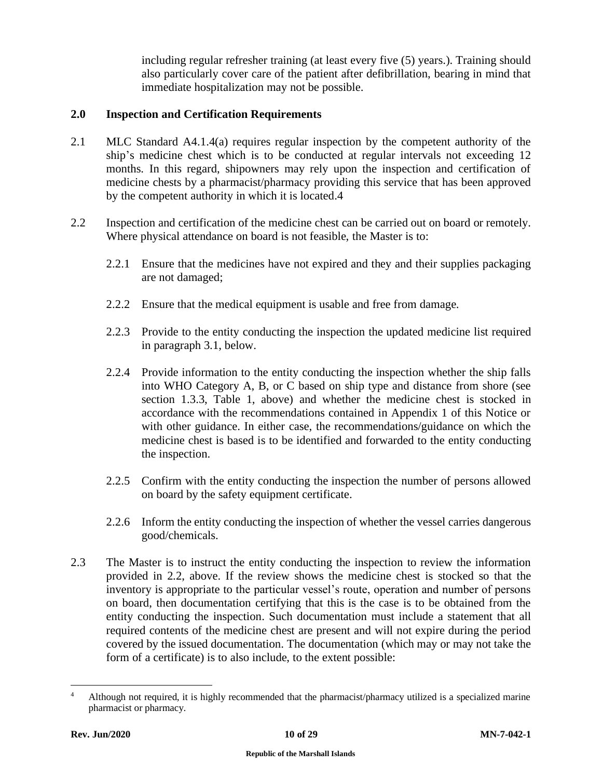including regular refresher training (at least every five (5) years.). Training should also particularly cover care of the patient after defibrillation, bearing in mind that immediate hospitalization may not be possible.

## <span id="page-9-0"></span>**2.0 Inspection and Certification Requirements**

- 2.1 MLC Standard A4.1.4(a) requires regular inspection by the competent authority of the ship's medicine chest which is to be conducted at regular intervals not exceeding 12 months. In this regard, shipowners may rely upon the inspection and certification of medicine chests by a pharmacist/pharmacy providing this service that has been approved by the competent authority in which it is located.4
- 2.2 Inspection and certification of the medicine chest can be carried out on board or remotely. Where physical attendance on board is not feasible, the Master is to:
	- 2.2.1 Ensure that the medicines have not expired and they and their supplies packaging are not damaged;
	- 2.2.2 Ensure that the medical equipment is usable and free from damage.
	- 2.2.3 Provide to the entity conducting the inspection the updated medicine list required in paragraph 3.1, below.
	- 2.2.4 Provide information to the entity conducting the inspection whether the ship falls into WHO Category A, B, or C based on ship type and distance from shore (see section 1.3.3, Table 1, above) and whether the medicine chest is stocked in accordance with the recommendations contained in Appendix 1 of this Notice or with other guidance. In either case, the recommendations/guidance on which the medicine chest is based is to be identified and forwarded to the entity conducting the inspection.
	- 2.2.5 Confirm with the entity conducting the inspection the number of persons allowed on board by the safety equipment certificate.
	- 2.2.6 Inform the entity conducting the inspection of whether the vessel carries dangerous good/chemicals.
- 2.3 The Master is to instruct the entity conducting the inspection to review the information provided in 2.2, above. If the review shows the medicine chest is stocked so that the inventory is appropriate to the particular vessel's route, operation and number of persons on board, then documentation certifying that this is the case is to be obtained from the entity conducting the inspection. Such documentation must include a statement that all required contents of the medicine chest are present and will not expire during the period covered by the issued documentation. The documentation (which may or may not take the form of a certificate) is to also include, to the extent possible:

<sup>4</sup> Although not required, it is highly recommended that the pharmacist/pharmacy utilized is a specialized marine pharmacist or pharmacy.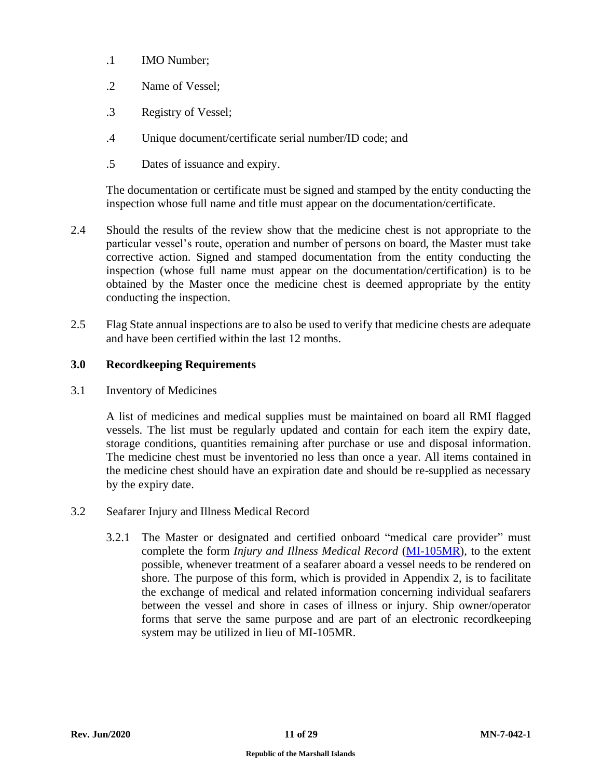- .1 IMO Number;
- .2 Name of Vessel;
- .3 Registry of Vessel;
- .4 Unique document/certificate serial number/ID code; and
- .5 Dates of issuance and expiry.

The documentation or certificate must be signed and stamped by the entity conducting the inspection whose full name and title must appear on the documentation/certificate.

- 2.4 Should the results of the review show that the medicine chest is not appropriate to the particular vessel's route, operation and number of persons on board, the Master must take corrective action. Signed and stamped documentation from the entity conducting the inspection (whose full name must appear on the documentation/certification) is to be obtained by the Master once the medicine chest is deemed appropriate by the entity conducting the inspection.
- 2.5 Flag State annual inspections are to also be used to verify that medicine chests are adequate and have been certified within the last 12 months.

## <span id="page-10-0"></span>**3.0 Recordkeeping Requirements**

<span id="page-10-1"></span>3.1 Inventory of Medicines

A list of medicines and medical supplies must be maintained on board all RMI flagged vessels. The list must be regularly updated and contain for each item the expiry date, storage conditions, quantities remaining after purchase or use and disposal information. The medicine chest must be inventoried no less than once a year. All items contained in the medicine chest should have an expiration date and should be re-supplied as necessary by the expiry date.

- <span id="page-10-2"></span>3.2 Seafarer Injury and Illness Medical Record
	- 3.2.1 The Master or designated and certified onboard "medical care provider" must complete the form *Injury and Illness Medical Record* [\(MI-105MR\)](https://www.register-iri.com/wp-content/uploads/MI-105MR-Injury-Illness-Medical-Record.doc), to the extent possible, whenever treatment of a seafarer aboard a vessel needs to be rendered on shore. The purpose of this form, which is provided in Appendix 2, is to facilitate the exchange of medical and related information concerning individual seafarers between the vessel and shore in cases of illness or injury. Ship owner/operator forms that serve the same purpose and are part of an electronic recordkeeping system may be utilized in lieu of MI-105MR.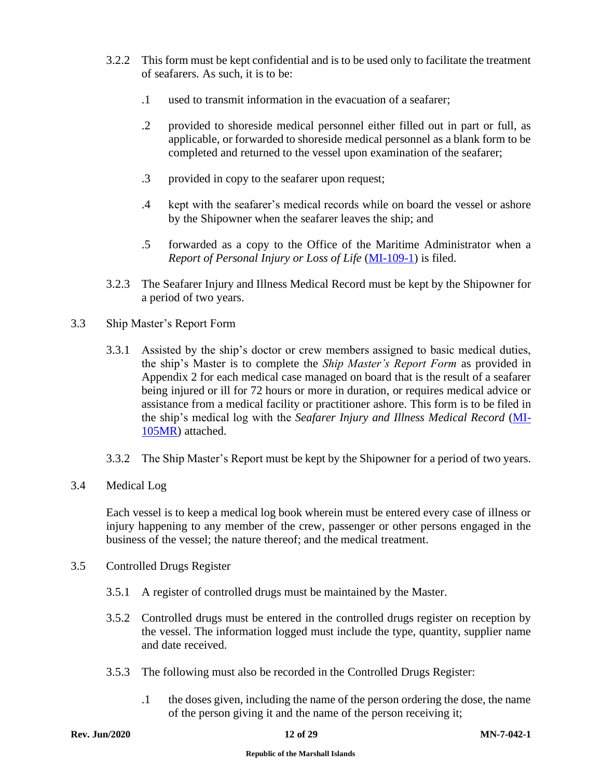- 3.2.2 This form must be kept confidential and is to be used only to facilitate the treatment of seafarers. As such, it is to be:
	- .1 used to transmit information in the evacuation of a seafarer;
	- .2 provided to shoreside medical personnel either filled out in part or full, as applicable, or forwarded to shoreside medical personnel as a blank form to be completed and returned to the vessel upon examination of the seafarer;
	- .3 provided in copy to the seafarer upon request;
	- .4 kept with the seafarer's medical records while on board the vessel or ashore by the Shipowner when the seafarer leaves the ship; and
	- .5 forwarded as a copy to the Office of the Maritime Administrator when a *Report of Personal Injury or Loss of Life* [\(MI-109-1\)](https://www.register-iri.com/wp-content/uploads/MI-109-1-Report-of-Personal-Injury-or-Loss-of-Life.pdf) is filed.
- 3.2.3 The Seafarer Injury and Illness Medical Record must be kept by the Shipowner for a period of two years.
- <span id="page-11-0"></span>3.3 Ship Master's Report Form
	- 3.3.1 Assisted by the ship's doctor or crew members assigned to basic medical duties, the ship's Master is to complete the *Ship Master's Report Form* as provided in Appendix 2 for each medical case managed on board that is the result of a seafarer being injured or ill for 72 hours or more in duration, or requires medical advice or assistance from a medical facility or practitioner ashore. This form is to be filed in the ship's medical log with the *Seafarer Injury and Illness Medical Record* [\(MI-](https://www.register-iri.com/wp-content/uploads/MI-105MR-Injury-Illness-Medical-Record.doc)[105MR\)](https://www.register-iri.com/wp-content/uploads/MI-105MR-Injury-Illness-Medical-Record.doc) attached.
	- 3.3.2 The Ship Master's Report must be kept by the Shipowner for a period of two years.
- <span id="page-11-1"></span>3.4 Medical Log

Each vessel is to keep a medical log book wherein must be entered every case of illness or injury happening to any member of the crew, passenger or other persons engaged in the business of the vessel; the nature thereof; and the medical treatment.

- <span id="page-11-2"></span>3.5 Controlled Drugs Register
	- 3.5.1 A register of controlled drugs must be maintained by the Master.
	- 3.5.2 Controlled drugs must be entered in the controlled drugs register on reception by the vessel. The information logged must include the type, quantity, supplier name and date received.
	- 3.5.3 The following must also be recorded in the Controlled Drugs Register:
		- .1 the doses given, including the name of the person ordering the dose, the name of the person giving it and the name of the person receiving it;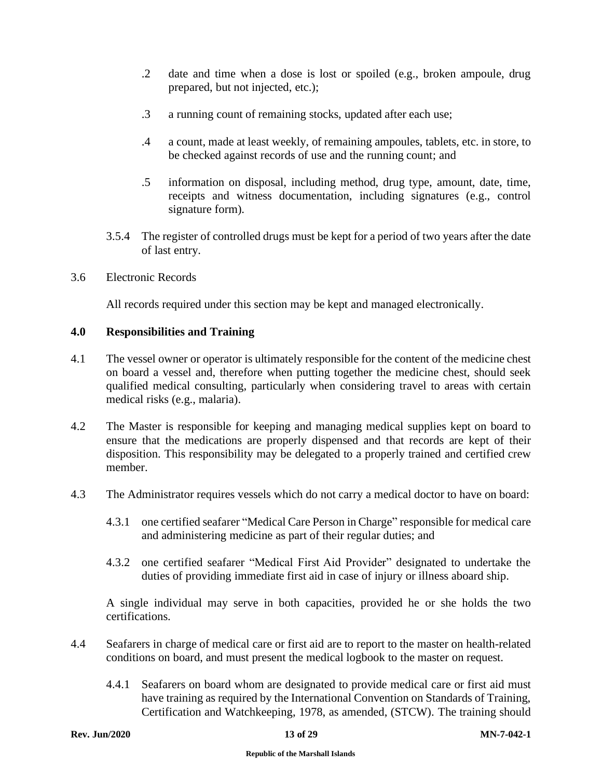- .2 date and time when a dose is lost or spoiled (e.g., broken ampoule, drug prepared, but not injected, etc.);
- .3 a running count of remaining stocks, updated after each use;
- .4 a count, made at least weekly, of remaining ampoules, tablets, etc. in store, to be checked against records of use and the running count; and
- .5 information on disposal, including method, drug type, amount, date, time, receipts and witness documentation, including signatures (e.g., control signature form).
- 3.5.4 The register of controlled drugs must be kept for a period of two years after the date of last entry.
- <span id="page-12-0"></span>3.6 Electronic Records

All records required under this section may be kept and managed electronically.

## <span id="page-12-1"></span>**4.0 Responsibilities and Training**

- 4.1 The vessel owner or operator is ultimately responsible for the content of the medicine chest on board a vessel and, therefore when putting together the medicine chest, should seek qualified medical consulting, particularly when considering travel to areas with certain medical risks (e.g., malaria).
- 4.2 The Master is responsible for keeping and managing medical supplies kept on board to ensure that the medications are properly dispensed and that records are kept of their disposition. This responsibility may be delegated to a properly trained and certified crew member.
- 4.3 The Administrator requires vessels which do not carry a medical doctor to have on board:
	- 4.3.1 one certified seafarer "Medical Care Person in Charge" responsible for medical care and administering medicine as part of their regular duties; and
	- 4.3.2 one certified seafarer "Medical First Aid Provider" designated to undertake the duties of providing immediate first aid in case of injury or illness aboard ship.

A single individual may serve in both capacities, provided he or she holds the two certifications.

- 4.4 Seafarers in charge of medical care or first aid are to report to the master on health-related conditions on board, and must present the medical logbook to the master on request.
	- 4.4.1 Seafarers on board whom are designated to provide medical care or first aid must have training as required by the International Convention on Standards of Training, Certification and Watchkeeping, 1978, as amended, (STCW). The training should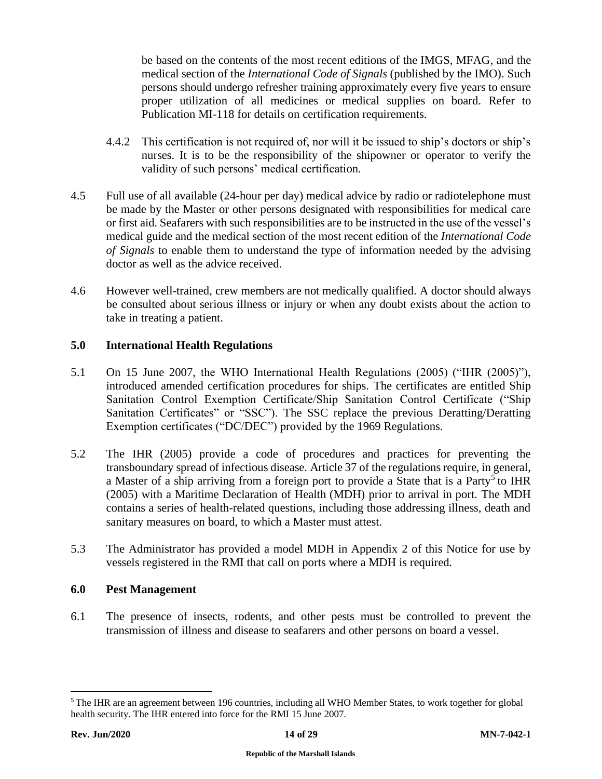be based on the contents of the most recent editions of the IMGS, MFAG, and the medical section of the *International Code of Signals* (published by the IMO). Such persons should undergo refresher training approximately every five years to ensure proper utilization of all medicines or medical supplies on board. Refer to Publication MI-118 for details on certification requirements.

- 4.4.2 This certification is not required of, nor will it be issued to ship's doctors or ship's nurses. It is to be the responsibility of the shipowner or operator to verify the validity of such persons' medical certification.
- 4.5 Full use of all available (24-hour per day) medical advice by radio or radiotelephone must be made by the Master or other persons designated with responsibilities for medical care or first aid. Seafarers with such responsibilities are to be instructed in the use of the vessel's medical guide and the medical section of the most recent edition of the *International Code of Signals* to enable them to understand the type of information needed by the advising doctor as well as the advice received.
- 4.6 However well-trained, crew members are not medically qualified. A doctor should always be consulted about serious illness or injury or when any doubt exists about the action to take in treating a patient.

## <span id="page-13-0"></span>**5.0 International Health Regulations**

- 5.1 On 15 June 2007, the WHO International Health Regulations (2005) ("IHR (2005)"), introduced amended certification procedures for ships. The certificates are entitled Ship Sanitation Control Exemption Certificate/Ship Sanitation Control Certificate ("Ship Sanitation Certificates" or "SSC"). The SSC replace the previous Deratting/Deratting Exemption certificates ("DC/DEC") provided by the 1969 Regulations.
- 5.2 The IHR (2005) provide a code of procedures and practices for preventing the transboundary spread of infectious disease. Article 37 of the regulations require, in general, a Master of a ship arriving from a foreign port to provide a State that is a Party<sup>5</sup> to IHR (2005) with a Maritime Declaration of Health (MDH) prior to arrival in port. The MDH contains a series of health-related questions, including those addressing illness, death and sanitary measures on board, to which a Master must attest.
- 5.3 The Administrator has provided a model MDH in Appendix 2 of this Notice for use by vessels registered in the RMI that call on ports where a MDH is required.

## <span id="page-13-1"></span>**6.0 Pest Management**

6.1 The presence of insects, rodents, and other pests must be controlled to prevent the transmission of illness and disease to seafarers and other persons on board a vessel.

<sup>&</sup>lt;sup>5</sup> The IHR are an agreement between 196 countries, including all WHO Member States, to work together for global health security. The IHR entered into force for the RMI 15 June 2007.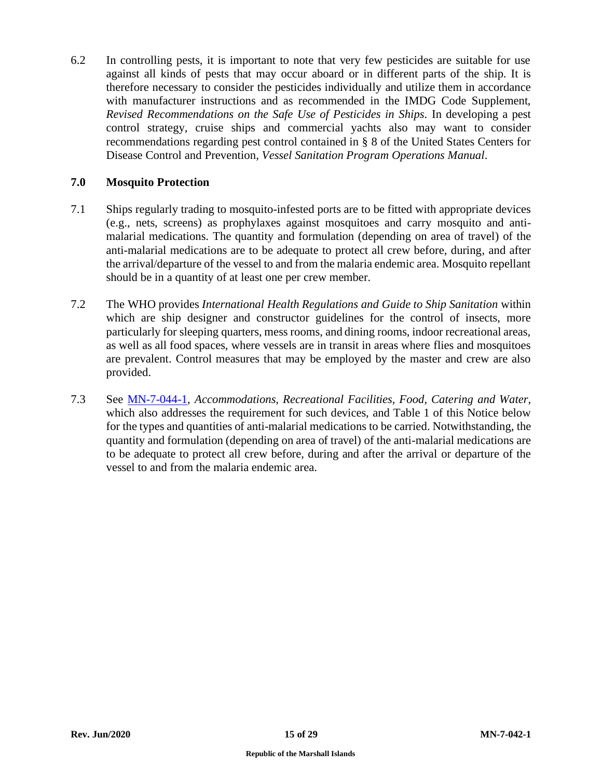6.2 In controlling pests, it is important to note that very few pesticides are suitable for use against all kinds of pests that may occur aboard or in different parts of the ship. It is therefore necessary to consider the pesticides individually and utilize them in accordance with manufacturer instructions and as recommended in the IMDG Code Supplement, *Revised Recommendations on the Safe Use of Pesticides in Ships.* In developing a pest control strategy, cruise ships and commercial yachts also may want to consider recommendations regarding pest control contained in § 8 of the United States Centers for Disease Control and Prevention, *Vessel Sanitation Program Operations Manual*.

## <span id="page-14-0"></span>**7.0 Mosquito Protection**

- 7.1 Ships regularly trading to mosquito-infested ports are to be fitted with appropriate devices (e.g., nets, screens) as prophylaxes against mosquitoes and carry mosquito and antimalarial medications. The quantity and formulation (depending on area of travel) of the anti-malarial medications are to be adequate to protect all crew before, during, and after the arrival/departure of the vessel to and from the malaria endemic area. Mosquito repellant should be in a quantity of at least one per crew member.
- 7.2 The WHO provides *International Health Regulations and Guide to Ship Sanitation* within which are ship designer and constructor guidelines for the control of insects, more particularly for sleeping quarters, mess rooms, and dining rooms, indoor recreational areas, as well as all food spaces, where vessels are in transit in areas where flies and mosquitoes are prevalent. Control measures that may be employed by the master and crew are also provided.
- 7.3 See [MN-7-044-1,](https://www.register-iri.com/wp-content/uploads/MN-7-044-1.pdf) *Accommodations, Recreational Facilities, Food, Catering and Water,*  which also addresses the requirement for such devices, and Table 1 of this Notice below for the types and quantities of anti-malarial medications to be carried. Notwithstanding, the quantity and formulation (depending on area of travel) of the anti-malarial medications are to be adequate to protect all crew before, during and after the arrival or departure of the vessel to and from the malaria endemic area.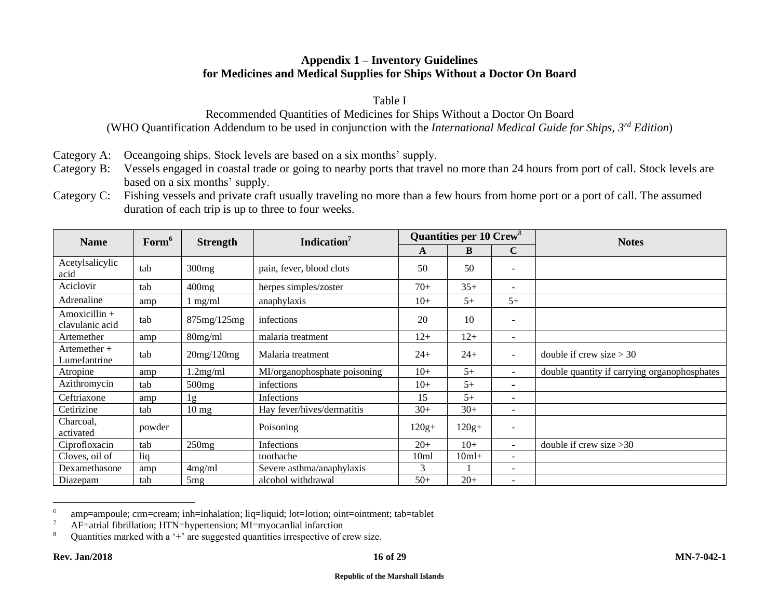## **Appendix 1 – Inventory Guidelines for Medicines and Medical Supplies for Ships Without a Doctor On Board**

Table I

Recommended Quantities of Medicines for Ships Without a Doctor On Board (WHO Quantification Addendum to be used in conjunction with the *International Medical Guide for Ships, 3rd Edition*)

- Category A: Oceangoing ships. Stock levels are based on a six months' supply.
- Category B: Vessels engaged in coastal trade or going to nearby ports that travel no more than 24 hours from port of call. Stock levels are based on a six months' supply.
- Category C: Fishing vessels and private craft usually traveling no more than a few hours from home port or a port of call. The assumed duration of each trip is up to three to four weeks.

<span id="page-15-0"></span>

| <b>Name</b>                        | Form <sup>6</sup> | <b>Strength</b> | Indication <sup>7</sup>      | <b>Quantities per 10 Crew<sup>8</sup></b> |         |                          | <b>Notes</b>                                 |
|------------------------------------|-------------------|-----------------|------------------------------|-------------------------------------------|---------|--------------------------|----------------------------------------------|
|                                    |                   |                 |                              | A                                         | B       | $\mathbf C$              |                                              |
| Acetylsalicylic<br>acid            | tab               | 300mg           | pain, fever, blood clots     | 50                                        | 50      | $\overline{\phantom{a}}$ |                                              |
| Aciclovir                          | tab               | 400mg           | herpes simples/zoster        | $70+$                                     | $35+$   | $\sim$                   |                                              |
| Adrenaline                         | amp               | $1$ mg/ml       | anaphylaxis                  | $10+$                                     | $5+$    | $5+$                     |                                              |
| $Amoxicillin +$<br>clavulanic acid | tab               | 875mg/125mg     | infections                   | 20                                        | 10      | $\overline{\phantom{a}}$ |                                              |
| Artemether                         | amp               | $80$ mg/ml      | malaria treatment            | $12+$                                     | $12+$   | $\overline{\phantom{a}}$ |                                              |
| Artemether $+$<br>Lumefantrine     | tab               | 20mg/120mg      | Malaria treatment            | $24+$                                     | $24+$   | $\sim$                   | double if crew size $>$ 30                   |
| Atropine                           | amp               | 1.2mg/ml        | MI/organophosphate poisoning | $10+$                                     | $5+$    |                          | double quantity if carrying organophosphates |
| Azithromycin                       | tab               | 500mg           | infections                   | $10+$                                     | $5+$    | $\blacksquare$           |                                              |
| Ceftriaxone                        | amp               | 1g              | Infections                   | 15                                        | $5+$    | $\overline{\phantom{a}}$ |                                              |
| Cetirizine                         | tab               | $10 \text{ mg}$ | Hay fever/hives/dermatitis   | $30+$                                     | $30+$   | $\overline{\phantom{a}}$ |                                              |
| Charcoal,<br>activated             | powder            |                 | Poisoning                    | $120g+$                                   | $120g+$ | $\overline{\phantom{a}}$ |                                              |
| Ciprofloxacin                      | tab               | 250mg           | Infections                   | $20+$                                     | $10+$   | $\overline{\phantom{a}}$ | double if crew size $>30$                    |
| Cloves, oil of                     | liq               |                 | toothache                    | 10 <sub>m</sub>                           | $10ml+$ | $\overline{\phantom{a}}$ |                                              |
| Dexamethasone                      | amp               | 4mg/ml          | Severe asthma/anaphylaxis    | 3                                         |         | $\overline{\phantom{a}}$ |                                              |
| Diazepam                           | tab               | 5 <sub>mg</sub> | alcohol withdrawal           | $50+$                                     | $20+$   | $\overline{\phantom{a}}$ |                                              |

<sup>6</sup> amp=ampoule; crm=cream; inh=inhalation; liq=liquid; lot=lotion; oint=ointment; tab=tablet

<sup>7</sup> AF=atrial fibrillation; HTN=hypertension; MI=myocardial infarction

<sup>8</sup> Quantities marked with a '+' are suggested quantities irrespective of crew size.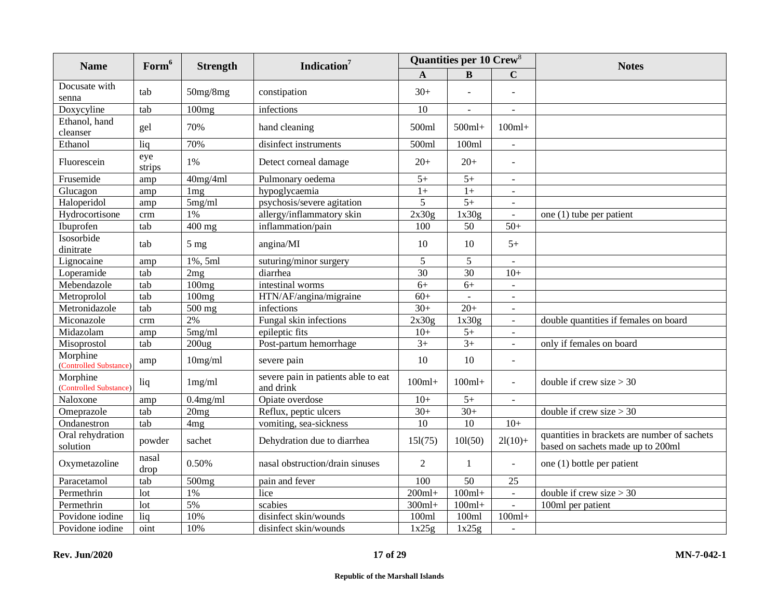| <b>Name</b>                        | Form <sup>6</sup> | <b>Strength</b>   | Indication <sup>7</sup>                          | <b>Quantities per 10 Crew<sup>8</sup></b> |                |                | <b>Notes</b>                                                                      |
|------------------------------------|-------------------|-------------------|--------------------------------------------------|-------------------------------------------|----------------|----------------|-----------------------------------------------------------------------------------|
|                                    |                   |                   |                                                  | A                                         | B              | C              |                                                                                   |
| Docusate with<br>senna             | tab               | 50mg/8mg          | constipation                                     | $30+$                                     | $\overline{a}$ |                |                                                                                   |
| Doxycyline                         | tab               | 100mg             | infections                                       | 10                                        | $\sim$         |                |                                                                                   |
| Ethanol, hand<br>cleanser          | gel               | 70%               | hand cleaning                                    | 500ml                                     | $500ml+$       | $100ml+$       |                                                                                   |
| Ethanol                            | liq               | 70%               | disinfect instruments                            | 500ml                                     | 100ml          | $\blacksquare$ |                                                                                   |
| Fluorescein                        | eye<br>strips     | 1%                | Detect corneal damage                            | $20+$                                     | $20+$          | $\sim$         |                                                                                   |
| Frusemide                          | amp               | 40mg/4ml          | Pulmonary oedema                                 | $5+$                                      | $5+$           | $\mathbf{r}$   |                                                                                   |
| Glucagon                           | amp               | $1 \text{mg}$     | hypoglycaemia                                    | $1+$                                      | $1+$           | $\blacksquare$ |                                                                                   |
| Haloperidol                        | amp               | 5mg/ml            | psychosis/severe agitation                       | 5                                         | $5+$           | $\blacksquare$ |                                                                                   |
| Hydrocortisone                     | crm               | 1%                | allergy/inflammatory skin                        | 2x30g                                     | 1x30g          | $\blacksquare$ | one (1) tube per patient                                                          |
| Ibuprofen                          | tab               | $400$ mg          | inflammation/pain                                | 100                                       | 50             | $50+$          |                                                                                   |
| Isosorbide<br>dinitrate            | tab               | $5 \text{ mg}$    | angina/MI                                        | 10                                        | 10             | $5+$           |                                                                                   |
| Lignocaine                         | amp               | 1%, 5ml           | suturing/minor surgery                           | 5                                         | 5              | $\blacksquare$ |                                                                                   |
| Loperamide                         | tab               | 2mg               | diarrhea                                         | 30                                        | 30             | $10+$          |                                                                                   |
| Mebendazole                        | tab               | 100mg             | intestinal worms                                 | $6+$                                      | $6+$           | $\omega$       |                                                                                   |
| Metroprolol                        | tab               | 100mg             | HTN/AF/angina/migraine                           | $60+$                                     | $\mathbf{r}$   | $\omega$       |                                                                                   |
| Metronidazole                      | tab               | 500 mg            | infections                                       | $30+$                                     | $20+$          |                |                                                                                   |
| Miconazole                         | crm               | 2%                | Fungal skin infections                           | 2x30g                                     | 1x30g          | $\blacksquare$ | double quantities if females on board                                             |
| Midazolam                          | amp               | 5mg/ml            | epileptic fits                                   | $10+$                                     | $5+$           | $\blacksquare$ |                                                                                   |
| Misoprostol                        | tab               | 200 <sub>ug</sub> | Post-partum hemorrhage                           | $3+$                                      | $3+$           | $\blacksquare$ | only if females on board                                                          |
| Morphine<br>(Controlled Substance) | amp               | $10$ mg/ml        | severe pain                                      | 10                                        | 10             | $\sim$         |                                                                                   |
| Morphine<br>(Controlled Substance) | liq               | 1mg/ml            | severe pain in patients able to eat<br>and drink | $100ml+$                                  | $100ml+$       | $\omega$       | double if crew size $>$ 30                                                        |
| Naloxone                           | amp               | $0.4$ mg/ml       | Opiate overdose                                  | $10+$                                     | $5+$           | $\sim$         |                                                                                   |
| Omeprazole                         | tab               | 20mg              | Reflux, peptic ulcers                            | $30+$                                     | $30+$          |                | double if crew size $>$ 30                                                        |
| Ondanestron                        | tab               | 4 <sub>mg</sub>   | vomiting, sea-sickness                           | 10                                        | 10             | $10+$          |                                                                                   |
| Oral rehydration<br>solution       | powder            | sachet            | Dehydration due to diarrhea                      | 151(75)                                   | 101(50)        | $2l(10) +$     | quantities in brackets are number of sachets<br>based on sachets made up to 200ml |
| Oxymetazoline                      | nasal<br>drop     | 0.50%             | nasal obstruction/drain sinuses                  | $\overline{2}$                            | $\mathbf{1}$   | $\sim$         | one (1) bottle per patient                                                        |
| Paracetamol                        | tab               | 500 <sub>mg</sub> | pain and fever                                   | 100                                       | 50             | 25             |                                                                                   |
| Permethrin                         | lot               | 1%                | lice                                             | $200ml+$                                  | $100ml+$       | $\mathbf{L}$   | double if crew size $>$ 30                                                        |
| Permethrin                         | lot               | 5%                | scabies                                          | $300ml+$                                  | $100ml+$       | $\blacksquare$ | 100ml per patient                                                                 |
| Povidone iodine                    | liq               | 10%               | disinfect skin/wounds                            | 100ml                                     | 100ml          | $100ml+$       |                                                                                   |
| Povidone iodine                    | oint              | 10%               | disinfect skin/wounds                            | 1x25g                                     | 1x25g          | $\sim$         |                                                                                   |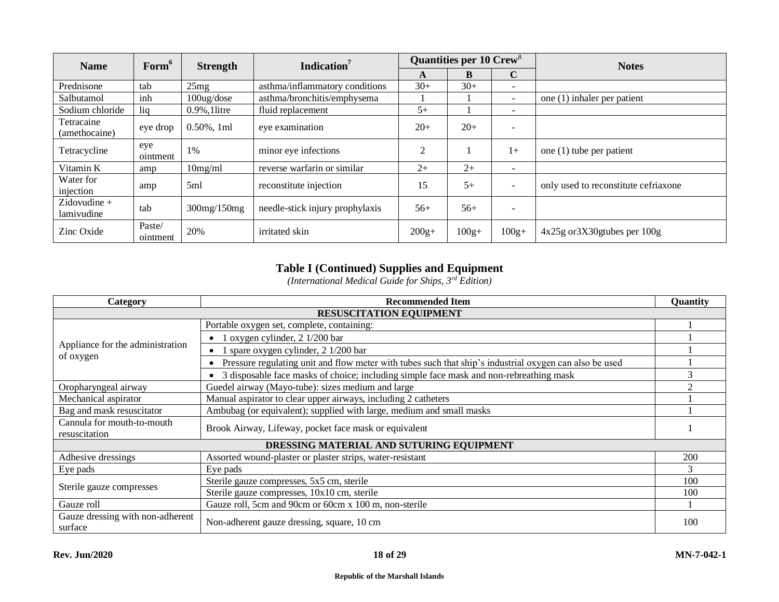| <b>Name</b>                                                   | Form <sup>6</sup><br><b>Strength</b> |                  | Indication <sup>7</sup>         | Quantities per 10 Crew <sup>8</sup> |         |                            | <b>Notes</b>                         |
|---------------------------------------------------------------|--------------------------------------|------------------|---------------------------------|-------------------------------------|---------|----------------------------|--------------------------------------|
|                                                               |                                      |                  |                                 | A                                   | В       | $\mathbf C$                |                                      |
| Prednisone                                                    | tab                                  | 25mg             | asthma/inflammatory conditions  | $30+$                               | $30+$   | $\overline{\phantom{a}}$   |                                      |
| Salbutamol                                                    | inh                                  | 100ug/dose       | asthma/bronchitis/emphysema     |                                     |         |                            | one (1) inhaler per patient          |
| Sodium chloride                                               | liq                                  | $0.9\%$ , llitre | fluid replacement               | $5+$                                |         | $\overline{\phantom{0}}$   |                                      |
| Tetracaine<br>(amethocaine)                                   | eye drop                             | $0.50\%$ , 1ml   | eye examination                 | $20+$                               | $20+$   |                            |                                      |
| eye<br>minor eye infections<br>1%<br>Tetracycline<br>ointment |                                      |                  | $\overline{c}$                  |                                     | $1+$    | one $(1)$ tube per patient |                                      |
| Vitamin K                                                     | amp                                  | 10mg/ml          | reverse warfarin or similar     |                                     | $2+$    | $\overline{\phantom{a}}$   |                                      |
| Water for<br>injection                                        | amp                                  | 5ml              | reconstitute injection          | 15                                  | $5+$    |                            | only used to reconstitute cefriaxone |
| $Zidovudine +$<br>lamivudine                                  | tab                                  | 300mg/150mg      | needle-stick injury prophylaxis | $56+$                               | $56+$   |                            |                                      |
| Zinc Oxide                                                    | Paste/<br>ointment                   | 20%              | irritated skin                  | $200g+$                             | $100g+$ | $100g+$                    | $4x25g$ or $3X30g$ tubes per 100g    |

## **Table I (Continued) Supplies and Equipment**

*(International Medical Guide for Ships, 3rd Edition)*

| Category                                    | <b>Recommended Item</b>                                                                                |     |  |  |
|---------------------------------------------|--------------------------------------------------------------------------------------------------------|-----|--|--|
|                                             | <b>RESUSCITATION EQUIPMENT</b>                                                                         |     |  |  |
|                                             | Portable oxygen set, complete, containing:                                                             |     |  |  |
|                                             | 1 oxygen cylinder, 2 1/200 bar                                                                         |     |  |  |
| Appliance for the administration            | spare oxygen cylinder, 2 1/200 bar                                                                     |     |  |  |
| of oxygen                                   | Pressure regulating unit and flow meter with tubes such that ship's industrial oxygen can also be used |     |  |  |
|                                             | 3 disposable face masks of choice; including simple face mask and non-rebreathing mask                 | 3   |  |  |
| Oropharyngeal airway                        | Guedel airway (Mayo-tube): sizes medium and large                                                      | ി   |  |  |
| Mechanical aspirator                        | Manual aspirator to clear upper airways, including 2 catheters                                         |     |  |  |
| Bag and mask resuscitator                   | Ambubag (or equivalent); supplied with large, medium and small masks                                   |     |  |  |
| Cannula for mouth-to-mouth                  | Brook Airway, Lifeway, pocket face mask or equivalent                                                  |     |  |  |
| resuscitation                               |                                                                                                        |     |  |  |
| DRESSING MATERIAL AND SUTURING EQUIPMENT    |                                                                                                        |     |  |  |
| Adhesive dressings                          | Assorted wound-plaster or plaster strips, water-resistant                                              | 200 |  |  |
| Eye pads                                    | Eye pads                                                                                               | 3   |  |  |
|                                             | Sterile gauze compresses, 5x5 cm, sterile                                                              | 100 |  |  |
| Sterile gauze compresses                    | Sterile gauze compresses, 10x10 cm, sterile                                                            | 100 |  |  |
| Gauze roll                                  | Gauze roll, 5cm and 90cm or 60cm x 100 m, non-sterile                                                  |     |  |  |
| Gauze dressing with non-adherent<br>surface | Non-adherent gauze dressing, square, 10 cm                                                             | 100 |  |  |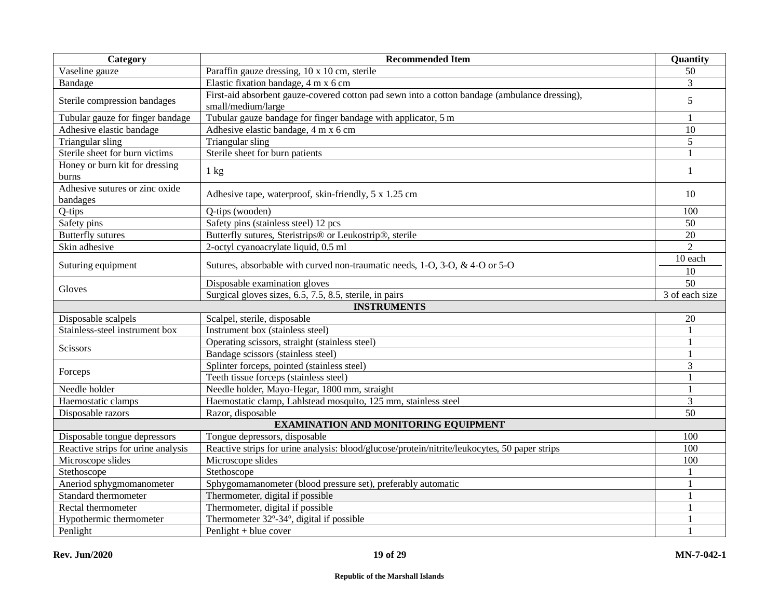| Category                           | <b>Recommended Item</b>                                                                                             | Quantity       |  |  |  |
|------------------------------------|---------------------------------------------------------------------------------------------------------------------|----------------|--|--|--|
| Vaseline gauze                     | Paraffin gauze dressing, 10 x 10 cm, sterile                                                                        | 50             |  |  |  |
| Bandage                            | Elastic fixation bandage, 4 m x 6 cm                                                                                | 3              |  |  |  |
| Sterile compression bandages       | First-aid absorbent gauze-covered cotton pad sewn into a cotton bandage (ambulance dressing),<br>small/medium/large |                |  |  |  |
| Tubular gauze for finger bandage   | Tubular gauze bandage for finger bandage with applicator, 5 m                                                       |                |  |  |  |
| Adhesive elastic bandage           | Adhesive elastic bandage, 4 m x 6 cm                                                                                | 10             |  |  |  |
| Triangular sling                   | Triangular sling                                                                                                    | 5              |  |  |  |
| Sterile sheet for burn victims     | Sterile sheet for burn patients                                                                                     | 1              |  |  |  |
| Honey or burn kit for dressing     |                                                                                                                     | 1              |  |  |  |
| burns                              | $1 \text{ kg}$                                                                                                      |                |  |  |  |
| Adhesive sutures or zinc oxide     | Adhesive tape, waterproof, skin-friendly, 5 x 1.25 cm                                                               | 10             |  |  |  |
| bandages                           |                                                                                                                     |                |  |  |  |
| Q-tips                             | Q-tips (wooden)                                                                                                     | 100            |  |  |  |
| Safety pins                        | Safety pins (stainless steel) 12 pcs                                                                                | 50             |  |  |  |
| <b>Butterfly</b> sutures           | Butterfly sutures, Steristrips® or Leukostrip®, sterile                                                             | 20             |  |  |  |
| Skin adhesive                      | 2-octyl cyanoacrylate liquid, 0.5 ml                                                                                | $\overline{2}$ |  |  |  |
|                                    |                                                                                                                     | 10 each        |  |  |  |
| Suturing equipment                 | Sutures, absorbable with curved non-traumatic needs, 1-O, 3-O, & 4-O or 5-O                                         | 10             |  |  |  |
| Gloves                             | Disposable examination gloves                                                                                       | 50             |  |  |  |
|                                    | Surgical gloves sizes, 6.5, 7.5, 8.5, sterile, in pairs                                                             | 3 of each size |  |  |  |
| <b>INSTRUMENTS</b>                 |                                                                                                                     |                |  |  |  |
| Disposable scalpels                | Scalpel, sterile, disposable                                                                                        | 20             |  |  |  |
| Stainless-steel instrument box     | Instrument box (stainless steel)                                                                                    | $\mathbf{1}$   |  |  |  |
| Scissors                           | Operating scissors, straight (stainless steel)                                                                      | $\mathbf{1}$   |  |  |  |
|                                    | Bandage scissors (stainless steel)                                                                                  | $\mathbf{1}$   |  |  |  |
| Forceps                            | Splinter forceps, pointed (stainless steel)                                                                         | 3              |  |  |  |
|                                    | Teeth tissue forceps (stainless steel)                                                                              | $\mathbf{1}$   |  |  |  |
| Needle holder                      | Needle holder, Mayo-Hegar, 1800 mm, straight                                                                        | $\mathbf{1}$   |  |  |  |
| Haemostatic clamps                 | Haemostatic clamp, Lahlstead mosquito, 125 mm, stainless steel                                                      | 3              |  |  |  |
| Disposable razors                  | Razor, disposable                                                                                                   | 50             |  |  |  |
|                                    | <b>EXAMINATION AND MONITORING EQUIPMENT</b>                                                                         |                |  |  |  |
| Disposable tongue depressors       | Tongue depressors, disposable                                                                                       | 100            |  |  |  |
| Reactive strips for urine analysis | Reactive strips for urine analysis: blood/glucose/protein/nitrite/leukocytes, 50 paper strips                       | 100            |  |  |  |
| Microscope slides                  | Microscope slides                                                                                                   | 100            |  |  |  |
| Stethoscope                        | Stethoscope                                                                                                         |                |  |  |  |
| Aneriod sphygmomanometer           | Sphygomamanometer (blood pressure set), preferably automatic                                                        | $\mathbf{1}$   |  |  |  |
| Standard thermometer               | Thermometer, digital if possible                                                                                    | $\mathbf{1}$   |  |  |  |
| Rectal thermometer                 | Thermometer, digital if possible                                                                                    | 1              |  |  |  |
| Hypothermic thermometer            | Thermometer 32°-34°, digital if possible                                                                            | 1              |  |  |  |
| Penlight                           | Penlight + blue cover                                                                                               |                |  |  |  |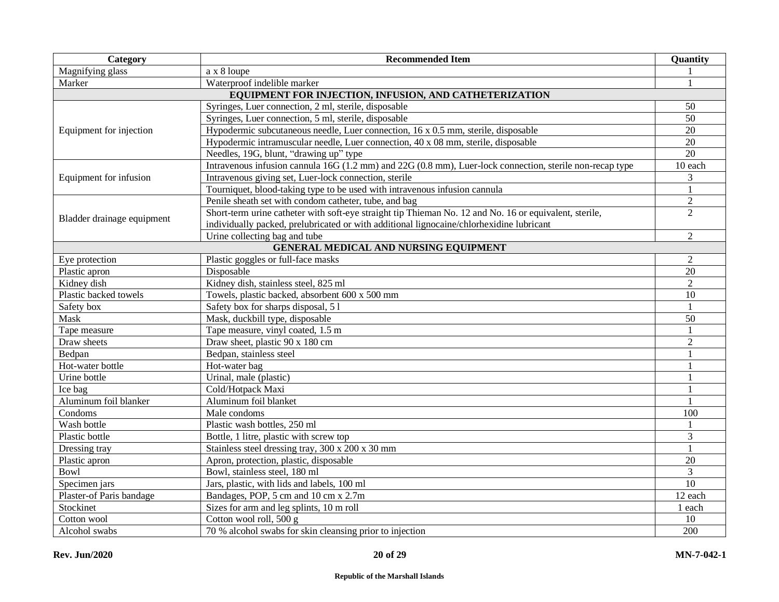| <b>Category</b>            | <b>Recommended Item</b>                                                                                  | Quantity        |
|----------------------------|----------------------------------------------------------------------------------------------------------|-----------------|
| Magnifying glass           | a x 8 loupe                                                                                              |                 |
| Marker                     | Waterproof indelible marker                                                                              |                 |
|                            | EQUIPMENT FOR INJECTION, INFUSION, AND CATHETERIZATION                                                   |                 |
|                            | Syringes, Luer connection, 2 ml, sterile, disposable                                                     | 50              |
|                            | Syringes, Luer connection, 5 ml, sterile, disposable                                                     | $\overline{50}$ |
| Equipment for injection    | Hypodermic subcutaneous needle, Luer connection, 16 x 0.5 mm, sterile, disposable                        | 20              |
|                            | Hypodermic intramuscular needle, Luer connection, 40 x 08 mm, sterile, disposable                        | 20              |
|                            | Needles, 19G, blunt, "drawing up" type                                                                   | 20              |
|                            | Intravenous infusion cannula 16G (1.2 mm) and 22G (0.8 mm), Luer-lock connection, sterile non-recap type | 10 each         |
| Equipment for infusion     | Intravenous giving set, Luer-lock connection, sterile                                                    | 3               |
|                            | Tourniquet, blood-taking type to be used with intravenous infusion cannula                               |                 |
|                            | Penile sheath set with condom catheter, tube, and bag                                                    | $\overline{2}$  |
| Bladder drainage equipment | Short-term urine catheter with soft-eye straight tip Thieman No. 12 and No. 16 or equivalent, sterile,   | $\overline{2}$  |
|                            | individually packed, prelubricated or with additional lignocaine/chlorhexidine lubricant                 |                 |
|                            | Urine collecting bag and tube                                                                            | 2               |
|                            | GENERAL MEDICAL AND NURSING EQUIPMENT                                                                    |                 |
| Eye protection             | Plastic goggles or full-face masks                                                                       | $\overline{2}$  |
| Plastic apron              | Disposable                                                                                               | 20              |
| Kidney dish                | Kidney dish, stainless steel, 825 ml                                                                     | $\overline{2}$  |
| Plastic backed towels      | Towels, plastic backed, absorbent 600 x 500 mm                                                           | 10              |
| Safety box                 | Safety box for sharps disposal, 51                                                                       |                 |
| Mask                       | Mask, duckbill type, disposable                                                                          | 50              |
| Tape measure               | Tape measure, vinyl coated, 1.5 m                                                                        |                 |
| Draw sheets                | Draw sheet, plastic 90 x 180 cm                                                                          | $\overline{2}$  |
| Bedpan                     | Bedpan, stainless steel                                                                                  | $\mathbf{1}$    |
| Hot-water bottle           | Hot-water bag                                                                                            | 1               |
| Urine bottle               | Urinal, male (plastic)                                                                                   | 1               |
| Ice bag                    | Cold/Hotpack Maxi                                                                                        | $\mathbf{1}$    |
| Aluminum foil blanker      | Aluminum foil blanket                                                                                    |                 |
| Condoms                    | Male condoms                                                                                             | 100             |
| Wash bottle                | Plastic wash bottles, 250 ml                                                                             | $\mathbf{1}$    |
| Plastic bottle             | Bottle, 1 litre, plastic with screw top                                                                  | 3               |
| Dressing tray              | Stainless steel dressing tray, 300 x 200 x 30 mm                                                         |                 |
| Plastic apron              | Apron, protection, plastic, disposable                                                                   | 20              |
| <b>Bowl</b>                | Bowl, stainless steel, 180 ml                                                                            | 3               |
| Specimen jars              | Jars, plastic, with lids and labels, 100 ml                                                              | 10              |
| Plaster-of Paris bandage   | Bandages, POP, 5 cm and 10 cm x 2.7m                                                                     | 12 each         |
| Stockinet                  | Sizes for arm and leg splints, 10 m roll                                                                 | 1 each          |
| Cotton wool                | Cotton wool roll, 500 g                                                                                  | 10              |
| Alcohol swabs              | 70 % alcohol swabs for skin cleansing prior to injection                                                 | 200             |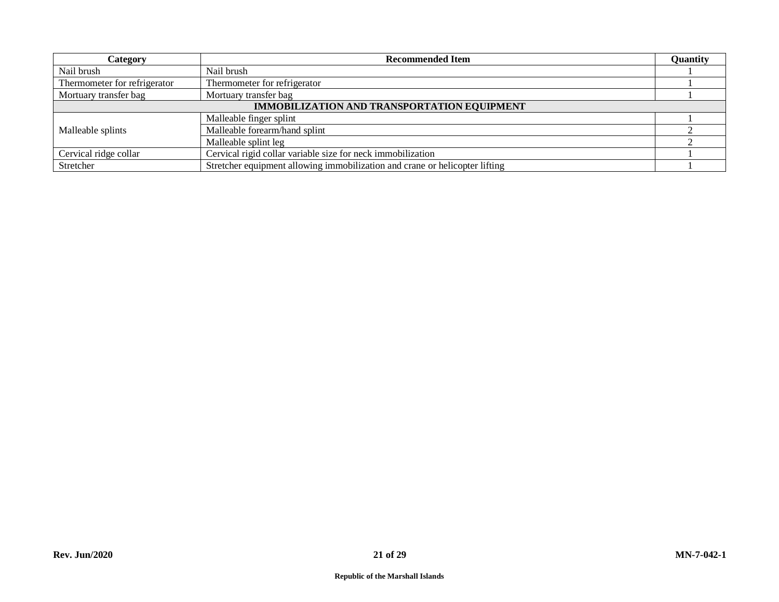| Category                                           | <b>Recommended Item</b>                                                     |  |  |  |
|----------------------------------------------------|-----------------------------------------------------------------------------|--|--|--|
| Nail brush                                         | Nail brush                                                                  |  |  |  |
| Thermometer for refrigerator                       | Thermometer for refrigerator                                                |  |  |  |
| Mortuary transfer bag                              | Mortuary transfer bag                                                       |  |  |  |
| <b>IMMOBILIZATION AND TRANSPORTATION EQUIPMENT</b> |                                                                             |  |  |  |
|                                                    | Malleable finger splint                                                     |  |  |  |
| Malleable splints                                  | Malleable forearm/hand splint                                               |  |  |  |
|                                                    | Malleable splint leg                                                        |  |  |  |
| Cervical ridge collar                              | Cervical rigid collar variable size for neck immobilization                 |  |  |  |
| Stretcher                                          | Stretcher equipment allowing immobilization and crane or helicopter lifting |  |  |  |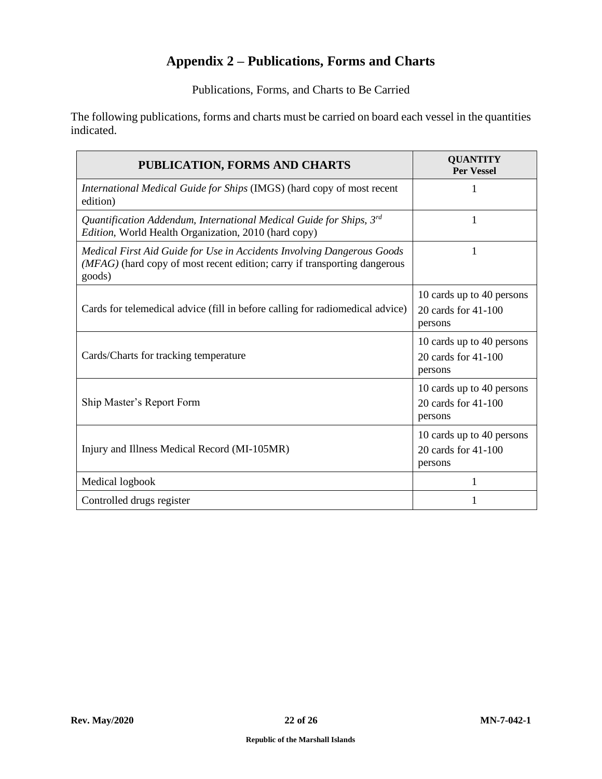## **Appendix 2 – Publications, Forms and Charts**

Publications, Forms, and Charts to Be Carried

<span id="page-21-0"></span>The following publications, forms and charts must be carried on board each vessel in the quantities indicated.

| PUBLICATION, FORMS AND CHARTS                                                                                                                                 | <b>QUANTITY</b><br><b>Per Vessel</b>                        |
|---------------------------------------------------------------------------------------------------------------------------------------------------------------|-------------------------------------------------------------|
| International Medical Guide for Ships (IMGS) (hard copy of most recent<br>edition)                                                                            | 1                                                           |
| Quantification Addendum, International Medical Guide for Ships, $3^{rd}$<br>Edition, World Health Organization, 2010 (hard copy)                              | 1                                                           |
| Medical First Aid Guide for Use in Accidents Involving Dangerous Goods<br>(MFAG) (hard copy of most recent edition; carry if transporting dangerous<br>goods) | 1                                                           |
| Cards for telemedical advice (fill in before calling for radiomedical advice)                                                                                 | 10 cards up to 40 persons<br>20 cards for 41-100<br>persons |
| Cards/Charts for tracking temperature                                                                                                                         | 10 cards up to 40 persons<br>20 cards for 41-100<br>persons |
| Ship Master's Report Form                                                                                                                                     | 10 cards up to 40 persons<br>20 cards for 41-100<br>persons |
| Injury and Illness Medical Record (MI-105MR)                                                                                                                  | 10 cards up to 40 persons<br>20 cards for 41-100<br>persons |
| Medical logbook                                                                                                                                               | 1                                                           |
| Controlled drugs register                                                                                                                                     |                                                             |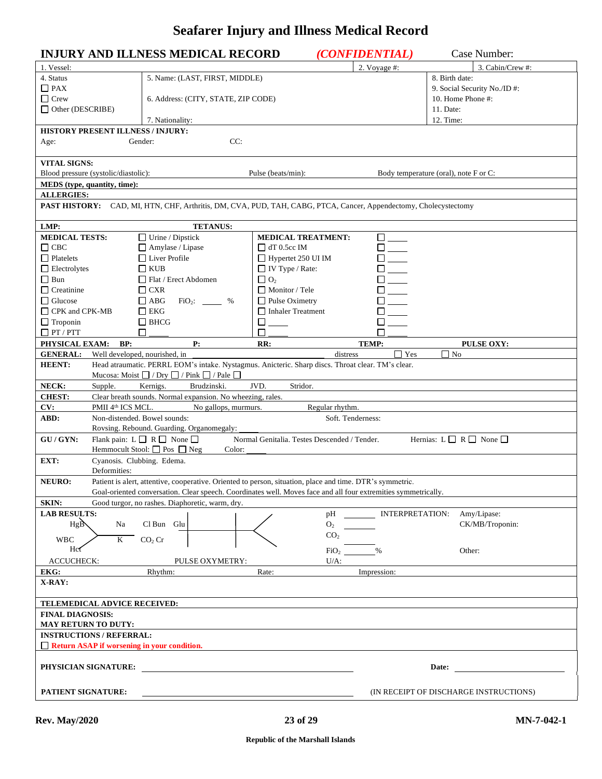# **Seafarer Injury and Illness Medical Record**

<span id="page-22-0"></span>

|                                                  | <b>INJURY AND ILLNESS MEDICAL RECORD</b>                                                                                |                                              | (CONFIDENTIAL)           | Case Number:                                  |
|--------------------------------------------------|-------------------------------------------------------------------------------------------------------------------------|----------------------------------------------|--------------------------|-----------------------------------------------|
| 1. Vessel:                                       |                                                                                                                         |                                              | 2. Voyage #:             | 3. Cabin/Crew #:                              |
| 4. Status                                        | 5. Name: (LAST, FIRST, MIDDLE)                                                                                          |                                              |                          | 8. Birth date:                                |
| $\Box$ PAX                                       |                                                                                                                         |                                              |                          | 9. Social Security No./ID#:                   |
| $\hfill\Box$<br>Crew                             | 6. Address: (CITY, STATE, ZIP CODE)                                                                                     |                                              |                          | 10. Home Phone #:                             |
| $\Box$ Other (DESCRIBE)                          |                                                                                                                         |                                              |                          | 11. Date:                                     |
|                                                  | 7. Nationality:                                                                                                         |                                              |                          | 12. Time:                                     |
| HISTORY PRESENT ILLNESS / INJURY:                |                                                                                                                         |                                              |                          |                                               |
| Age:                                             | CC:<br>Gender:                                                                                                          |                                              |                          |                                               |
| <b>VITAL SIGNS:</b>                              |                                                                                                                         |                                              |                          |                                               |
| Blood pressure (systolic/diastolic):             |                                                                                                                         | Pulse (beats/min):                           |                          | Body temperature (oral), note F or C:         |
| MEDS (type, quantity, time):                     |                                                                                                                         |                                              |                          |                                               |
| <b>ALLERGIES:</b>                                |                                                                                                                         |                                              |                          |                                               |
|                                                  | <b>PAST HISTORY:</b> CAD, MI, HTN, CHF, Arthritis, DM, CVA, PUD, TAH, CABG, PTCA, Cancer, Appendectomy, Cholecystectomy |                                              |                          |                                               |
|                                                  |                                                                                                                         |                                              |                          |                                               |
| LMP:                                             | <b>TETANUS:</b>                                                                                                         |                                              |                          |                                               |
| <b>MEDICAL TESTS:</b>                            | $\Box$ Urine / Dipstick                                                                                                 | <b>MEDICAL TREATMENT:</b>                    | $\Box$                   |                                               |
| $\Box$ CBC                                       | Amylase / Lipase                                                                                                        | $\Box$ dT 0.5cc IM                           | $\Box$                   |                                               |
| $\Box$ Platelets                                 | $\Box$ Liver Profile                                                                                                    | Hypertet 250 UI IM                           |                          |                                               |
| $\Box$ Electrolytes                              | $\Box$ KUB                                                                                                              | $\Box$ IV Type / Rate:                       |                          |                                               |
| $\Box$ Bun                                       | $\Box$ Flat / Erect Abdomen                                                                                             | $\Box$ O <sub>2</sub>                        | $\overline{\phantom{a}}$ |                                               |
| $\Box$ Creatinine                                | $\Box$ CXR                                                                                                              | Monitor / Tele                               |                          |                                               |
| $\Box$ Glucose                                   | $\Box$ ABG<br>$FiO_2$ : %                                                                                               | $\Box$ Pulse Oximetry                        |                          |                                               |
| □ CPK and CPK-MB                                 | EKG<br>$\Box$ BHCG                                                                                                      | Inhaler Treatment<br>$\Box$                  |                          |                                               |
| $\Box$ Troponin<br>$\Box$ PT / PTT               | П                                                                                                                       | П                                            |                          |                                               |
| PHYSICAL EXAM:<br>BP:                            | P:                                                                                                                      | RR:                                          | <b>TEMP:</b>             | <b>PULSE OXY:</b>                             |
| Well developed, nourished, in<br><b>GENERAL:</b> |                                                                                                                         | distress                                     | $\Gamma$ Yes             | $\Box$ No                                     |
| <b>HEENT:</b>                                    | Head atraumatic. PERRL EOM's intake. Nystagmus. Anicteric. Sharp discs. Throat clear. TM's clear.                       |                                              |                          |                                               |
|                                                  | Mucosa: Moist $\Box$ / Dry $\Box$ / Pink $\Box$ / Pale $\Box$                                                           |                                              |                          |                                               |
| NECK:<br>Supple.                                 | Brudzinski.<br>Kernigs.                                                                                                 | JVD.<br>Stridor.                             |                          |                                               |
| <b>CHEST:</b>                                    | Clear breath sounds. Normal expansion. No wheezing, rales.                                                              |                                              |                          |                                               |
| CV:<br>PMII 4 <sup>th</sup> ICS MCL.             | No gallops, murmurs.                                                                                                    | Regular rhythm.                              |                          |                                               |
| ABD:                                             | Non-distended. Bowel sounds:                                                                                            |                                              | Soft. Tenderness:        |                                               |
|                                                  | Rovsing. Rebound. Guarding. Organomegaly:                                                                               |                                              |                          |                                               |
| GU/GYN:                                          | Flank pain: $L \square R \square$ None $\square$<br>Hemmocult Stool: $\Box$ Pos $\Box$ Neg                              | Normal Genitalia. Testes Descended / Tender. |                          | Hernias: $L \square R \square$ None $\square$ |
| EXT:<br>Cyanosis. Clubbing. Edema.               | Color:                                                                                                                  |                                              |                          |                                               |
| Deformities:                                     |                                                                                                                         |                                              |                          |                                               |
| <b>NEURO:</b>                                    | Patient is alert, attentive, cooperative. Oriented to person, situation, place and time. DTR's symmetric.               |                                              |                          |                                               |
|                                                  | Goal-oriented conversation. Clear speech. Coordinates well. Moves face and all four extremities symmetrically.          |                                              |                          |                                               |
| <b>SKIN:</b>                                     | Good turgor, no rashes. Diaphoretic, warm, dry.                                                                         |                                              |                          |                                               |
| <b>LAB RESULTS:</b>                              |                                                                                                                         | pH                                           | <b>INTERPRETATION:</b>   | Amy/Lipase:                                   |
| HgB<br>Na                                        | Cl Bun Glu                                                                                                              | O <sub>2</sub>                               |                          | CK/MB/Troponin:                               |
| <b>WBC</b><br>$\mathbf{K}$                       | CO <sub>2</sub> Cr                                                                                                      | CO <sub>2</sub>                              |                          |                                               |
| Hct                                              |                                                                                                                         | FiO <sub>2</sub>                             | $\%$                     | Other:                                        |
| <b>ACCUCHECK:</b>                                | PULSE OXYMETRY:                                                                                                         | $U/A$ :                                      |                          |                                               |
| EKG:                                             | Rhythm:                                                                                                                 | Rate:                                        | Impression:              |                                               |
| X-RAY:                                           |                                                                                                                         |                                              |                          |                                               |
|                                                  |                                                                                                                         |                                              |                          |                                               |
| TELEMEDICAL ADVICE RECEIVED:                     |                                                                                                                         |                                              |                          |                                               |
| <b>FINAL DIAGNOSIS:</b>                          |                                                                                                                         |                                              |                          |                                               |
| <b>MAY RETURN TO DUTY:</b>                       |                                                                                                                         |                                              |                          |                                               |
| <b>INSTRUCTIONS / REFERRAL:</b>                  |                                                                                                                         |                                              |                          |                                               |
| Return ASAP if worsening in your condition.      |                                                                                                                         |                                              |                          |                                               |
| PHYSICIAN SIGNATURE:                             |                                                                                                                         |                                              |                          | Date:                                         |
|                                                  |                                                                                                                         |                                              |                          |                                               |
|                                                  |                                                                                                                         |                                              |                          |                                               |
| PATIENT SIGNATURE:                               |                                                                                                                         |                                              |                          | (IN RECEIPT OF DISCHARGE INSTRUCTIONS)        |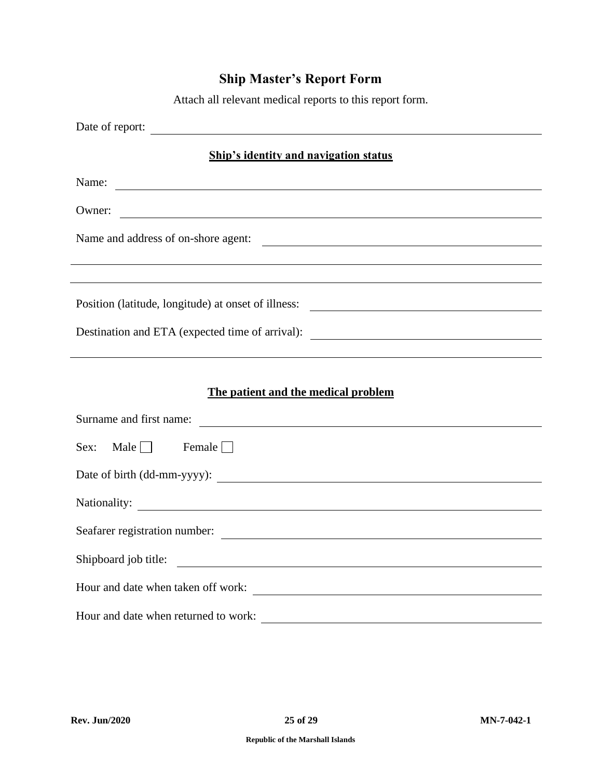# **Ship Master's Report Form**

Attach all relevant medical reports to this report form.

<span id="page-24-0"></span>

| Date of report:                                                                                                                                                                                                                      |  |  |  |  |
|--------------------------------------------------------------------------------------------------------------------------------------------------------------------------------------------------------------------------------------|--|--|--|--|
| <b>Ship's identity and navigation status</b>                                                                                                                                                                                         |  |  |  |  |
| Name: <u>example and the contract of the contract of the contract of the contract of the contract of the contract of the contract of the contract of the contract of the contract of the contract of the contract of the contrac</u> |  |  |  |  |
| Owner:<br><u> 1990 - John Harry Harry Harry Harry Harry Harry Harry Harry Harry Harry Harry Harry Harry Harry Harry Harry H</u>                                                                                                      |  |  |  |  |
| Name and address of on-shore agent:                                                                                                                                                                                                  |  |  |  |  |
| ,我们也不会有什么。""我们的人,我们也不会有什么?""我们的人,我们也不会有什么?""我们的人,我们也不会有什么?""我们的人,我们也不会有什么?""我们的人                                                                                                                                                     |  |  |  |  |
| Position (latitude, longitude) at onset of illness:                                                                                                                                                                                  |  |  |  |  |
| Destination and ETA (expected time of arrival): _________________________________                                                                                                                                                    |  |  |  |  |
|                                                                                                                                                                                                                                      |  |  |  |  |
| The patient and the medical problem                                                                                                                                                                                                  |  |  |  |  |
| Surname and first name:                                                                                                                                                                                                              |  |  |  |  |
| Sex: Male $\Box$ Female $\Box$                                                                                                                                                                                                       |  |  |  |  |
|                                                                                                                                                                                                                                      |  |  |  |  |
|                                                                                                                                                                                                                                      |  |  |  |  |
| Seafarer registration number:                                                                                                                                                                                                        |  |  |  |  |
| Shipboard job title:                                                                                                                                                                                                                 |  |  |  |  |
|                                                                                                                                                                                                                                      |  |  |  |  |
| Hour and date when returned to work:                                                                                                                                                                                                 |  |  |  |  |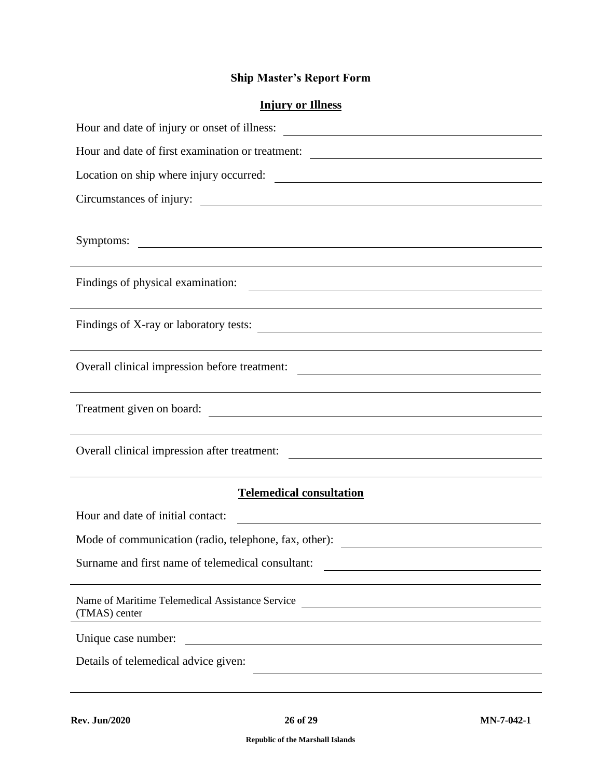## **Ship Master's Report Form**

## **Injury or Illness**

| Hour and date of injury or onset of illness:                                                                                                                          |  |  |  |  |  |  |
|-----------------------------------------------------------------------------------------------------------------------------------------------------------------------|--|--|--|--|--|--|
| Hour and date of first examination or treatment: ________________________________                                                                                     |  |  |  |  |  |  |
|                                                                                                                                                                       |  |  |  |  |  |  |
| Circumstances of injury:                                                                                                                                              |  |  |  |  |  |  |
|                                                                                                                                                                       |  |  |  |  |  |  |
| Symptoms:<br><u> 1989 - Johann John Stein, markin sanadi masjid a shekara ta 1989 - An tsara ta 1989 - An tsara ta 1989 - An t</u>                                    |  |  |  |  |  |  |
|                                                                                                                                                                       |  |  |  |  |  |  |
| Findings of physical examination:<br><u> 1989 - Johann Stoff, fransk politik (d. 1989)</u>                                                                            |  |  |  |  |  |  |
|                                                                                                                                                                       |  |  |  |  |  |  |
| Findings of X-ray or laboratory tests:                                                                                                                                |  |  |  |  |  |  |
| Overall clinical impression before treatment:<br><u> Alexandria de la contrada de la contrada de la contrada de la contrada de la contrada de la contrada de la c</u> |  |  |  |  |  |  |
|                                                                                                                                                                       |  |  |  |  |  |  |
| Treatment given on board:                                                                                                                                             |  |  |  |  |  |  |
|                                                                                                                                                                       |  |  |  |  |  |  |
|                                                                                                                                                                       |  |  |  |  |  |  |
|                                                                                                                                                                       |  |  |  |  |  |  |
| <b>Telemedical consultation</b>                                                                                                                                       |  |  |  |  |  |  |
| Hour and date of initial contact:                                                                                                                                     |  |  |  |  |  |  |
| Mode of communication (radio, telephone, fax, other): ___________________________                                                                                     |  |  |  |  |  |  |
| Surname and first name of telemedical consultant:                                                                                                                     |  |  |  |  |  |  |
|                                                                                                                                                                       |  |  |  |  |  |  |
| Name of Maritime Telemedical Assistance Service<br>(TMAS) center                                                                                                      |  |  |  |  |  |  |
| Unique case number:                                                                                                                                                   |  |  |  |  |  |  |
| Details of telemedical advice given:                                                                                                                                  |  |  |  |  |  |  |
|                                                                                                                                                                       |  |  |  |  |  |  |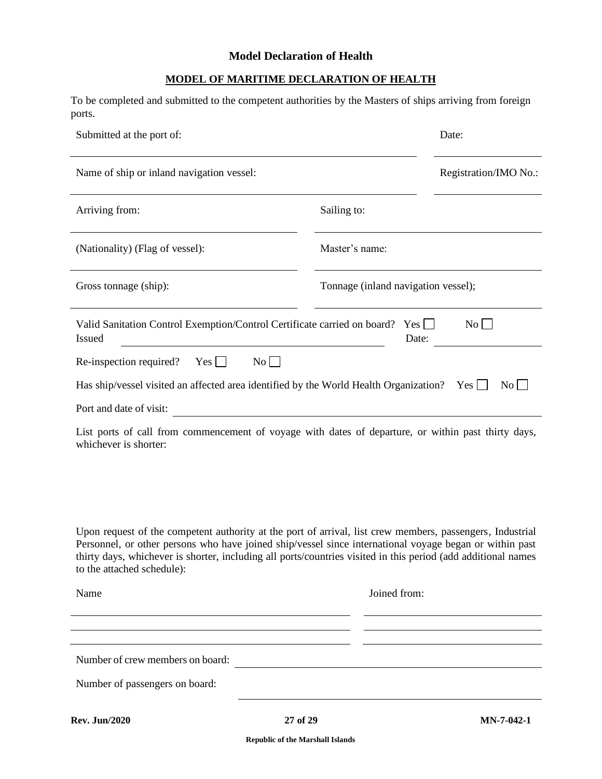### **Model Declaration of Health**

## **MODEL OF MARITIME DECLARATION OF HEALTH**

<span id="page-26-0"></span>To be completed and submitted to the competent authorities by the Masters of ships arriving from foreign ports.

| Submitted at the port of:                                                                                                                                                                                                                                                                                                                                           |                                     | Date:                 |  |  |  |  |  |  |
|---------------------------------------------------------------------------------------------------------------------------------------------------------------------------------------------------------------------------------------------------------------------------------------------------------------------------------------------------------------------|-------------------------------------|-----------------------|--|--|--|--|--|--|
| Name of ship or inland navigation vessel:                                                                                                                                                                                                                                                                                                                           |                                     | Registration/IMO No.: |  |  |  |  |  |  |
| Arriving from:                                                                                                                                                                                                                                                                                                                                                      | Sailing to:                         |                       |  |  |  |  |  |  |
| (Nationality) (Flag of vessel):                                                                                                                                                                                                                                                                                                                                     | Master's name:                      |                       |  |  |  |  |  |  |
| Gross tonnage (ship):                                                                                                                                                                                                                                                                                                                                               | Tonnage (inland navigation vessel); |                       |  |  |  |  |  |  |
| Valid Sanitation Control Exemption/Control Certificate carried on board? Yes<br>No<br><b>Issued</b><br>Date:                                                                                                                                                                                                                                                        |                                     |                       |  |  |  |  |  |  |
| No<br>$Yes \Box$<br>Re-inspection required?                                                                                                                                                                                                                                                                                                                         |                                     |                       |  |  |  |  |  |  |
| Has ship/vessel visited an affected area identified by the World Health Organization? Yes $\Box$<br>No                                                                                                                                                                                                                                                              |                                     |                       |  |  |  |  |  |  |
| Port and date of visit:                                                                                                                                                                                                                                                                                                                                             |                                     |                       |  |  |  |  |  |  |
| List ports of call from commencement of voyage with dates of departure, or within past thirty days,<br>whichever is shorter:                                                                                                                                                                                                                                        |                                     |                       |  |  |  |  |  |  |
| Upon request of the competent authority at the port of arrival, list crew members, passengers, Industrial<br>Personnel, or other persons who have joined ship/vessel since international voyage began or within past<br>thirty days, whichever is shorter, including all ports/countries visited in this period (add additional names<br>to the attached schedule): |                                     |                       |  |  |  |  |  |  |
| Name                                                                                                                                                                                                                                                                                                                                                                | Joined from:                        |                       |  |  |  |  |  |  |
|                                                                                                                                                                                                                                                                                                                                                                     |                                     |                       |  |  |  |  |  |  |
|                                                                                                                                                                                                                                                                                                                                                                     |                                     |                       |  |  |  |  |  |  |
| Number of crew members on board:                                                                                                                                                                                                                                                                                                                                    |                                     |                       |  |  |  |  |  |  |
| Number of passengers on board:                                                                                                                                                                                                                                                                                                                                      |                                     |                       |  |  |  |  |  |  |
|                                                                                                                                                                                                                                                                                                                                                                     |                                     |                       |  |  |  |  |  |  |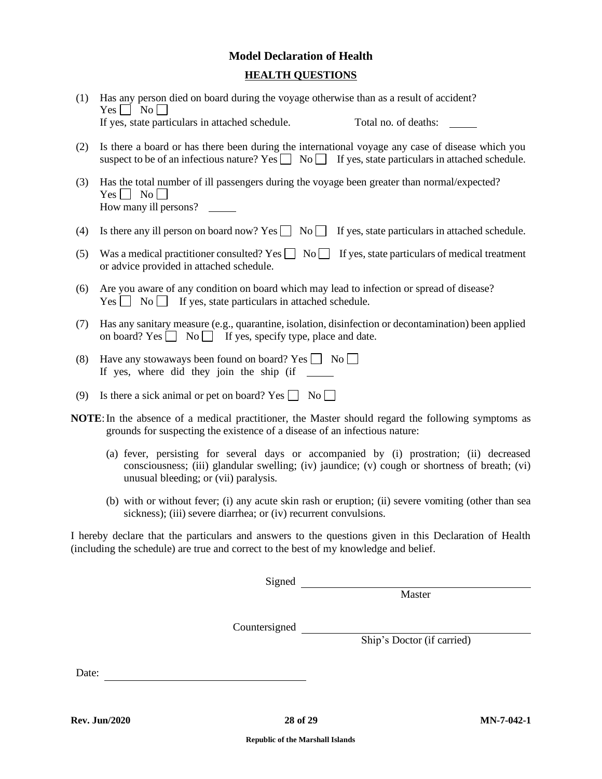## **Model Declaration of Health HEALTH QUESTIONS**

- (1) Has any person died on board during the voyage otherwise than as a result of accident?  $Yes \Box No \Box$ If yes, state particulars in attached schedule. Total no. of deaths:
- (2) Is there a board or has there been during the international voyage any case of disease which you suspect to be of an infectious nature? Yes  $\Box$  No  $\Box$  If yes, state particulars in attached schedule.
- (3) Has the total number of ill passengers during the voyage been greater than normal/expected?  $Yes \Box No \Box$ How many ill persons?
- (4) Is there any ill person on board now? Yes  $\Box$  No  $\Box$  If yes, state particulars in attached schedule.
- (5) Was a medical practitioner consulted? Yes  $\Box$  No  $\Box$  If yes, state particulars of medical treatment or advice provided in attached schedule.
- (6) Are you aware of any condition on board which may lead to infection or spread of disease?  $Yes \n\prod No \n\prod$  if yes, state particulars in attached schedule.
- (7) Has any sanitary measure (e.g., quarantine, isolation, disinfection or decontamination) been applied on board? Yes  $\Box$  No  $\Box$  If yes, specify type, place and date.
- (8) Have any stowaways been found on board? Yes  $\Box$  No  $\Box$ If yes, where did they join the ship (if
- (9) Is there a sick animal or pet on board? Yes  $\Box$  No  $\Box$
- **NOTE:** In the absence of a medical practitioner, the Master should regard the following symptoms as grounds for suspecting the existence of a disease of an infectious nature:
	- (a) fever, persisting for several days or accompanied by (i) prostration; (ii) decreased consciousness; (iii) glandular swelling; (iv) jaundice; (v) cough or shortness of breath; (vi) unusual bleeding; or (vii) paralysis.
	- (b) with or without fever; (i) any acute skin rash or eruption; (ii) severe vomiting (other than sea sickness); (iii) severe diarrhea; or (iv) recurrent convulsions.

I hereby declare that the particulars and answers to the questions given in this Declaration of Health (including the schedule) are true and correct to the best of my knowledge and belief.

Signed

**Master** 

Countersigned

Ship's Doctor (if carried)

Date: